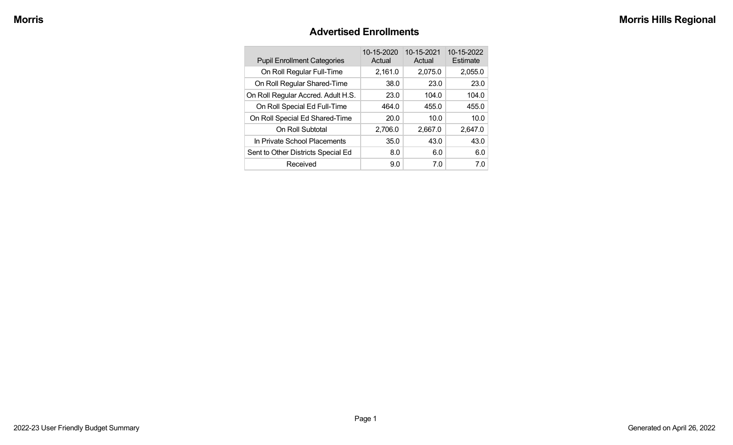#### **Advertised Enrollments**

| <b>Pupil Enrollment Categories</b> | 10-15-2020<br>Actual | 10-15-2021<br>Actual | 10-15-2022<br>Estimate |
|------------------------------------|----------------------|----------------------|------------------------|
| On Roll Regular Full-Time          | 2,161.0              | 2,075.0              | 2,055.0                |
| On Roll Regular Shared-Time        | 38.0                 | 23.0                 | 23.0                   |
| On Roll Regular Accred. Adult H.S. | 23.0                 | 104.0                | 104.0                  |
| On Roll Special Ed Full-Time       | 464.0                | 455.0                | 455.0                  |
| On Roll Special Ed Shared-Time     | 20.0                 | 10.0                 | 10.0                   |
| On Roll Subtotal                   | 2,706.0              | 2,667.0              | 2,647.0                |
| In Private School Placements       | 35.0                 | 43.0                 | 43.0                   |
| Sent to Other Districts Special Ed | 8.0                  | 6.0                  | 6.0                    |
| Received                           | 9.0                  | 7.0                  | 7.0                    |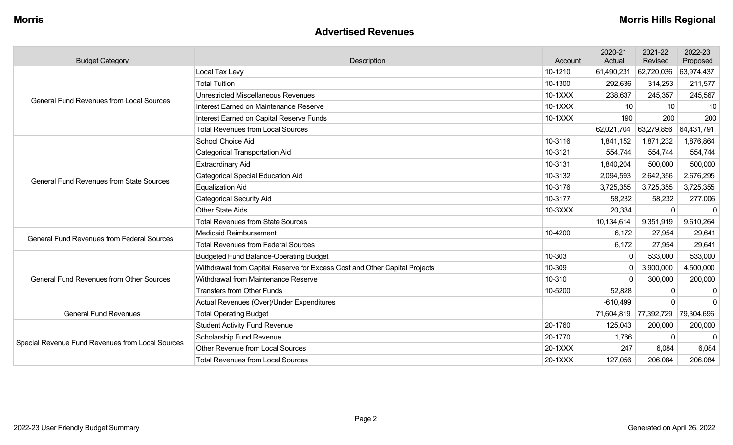#### **Advertised Revenues**

| <b>Budget Category</b>                            | Description                                                                                                                                                                                                                                                      | Account   | 2020-21<br>Actual | 2021-22<br>Revised | 2022-23<br>Proposed |
|---------------------------------------------------|------------------------------------------------------------------------------------------------------------------------------------------------------------------------------------------------------------------------------------------------------------------|-----------|-------------------|--------------------|---------------------|
|                                                   | Local Tax Levy                                                                                                                                                                                                                                                   | 10-1210   | 61,490,231        | 62,720,036         | 63,974,437          |
|                                                   | <b>Total Tuition</b>                                                                                                                                                                                                                                             | 10-1300   | 292,636           | 314,253            | 211,577             |
| <b>General Fund Revenues from Local Sources</b>   | <b>Unrestricted Miscellaneous Revenues</b>                                                                                                                                                                                                                       | $10-1XXX$ | 238,637           | 245,357            | 245,567             |
|                                                   | Interest Earned on Maintenance Reserve                                                                                                                                                                                                                           | 10-1XXX   | 10                | 10                 | 10                  |
|                                                   | Interest Earned on Capital Reserve Funds                                                                                                                                                                                                                         | 10-1XXX   | 190               | 200                | 200                 |
|                                                   | <b>Total Revenues from Local Sources</b>                                                                                                                                                                                                                         |           | 62,021,704        | 63,279,856         | 64,431,791          |
|                                                   | School Choice Aid                                                                                                                                                                                                                                                | 10-3116   | 1,841,152         | 1,871,232          | 1,876,864           |
|                                                   | <b>Categorical Transportation Aid</b>                                                                                                                                                                                                                            | 10-3121   | 554,744           | 554,744            | 554,744             |
|                                                   | <b>Extraordinary Aid</b>                                                                                                                                                                                                                                         | 10-3131   | 1,840,204         | 500,000            | 500,000             |
| <b>General Fund Revenues from State Sources</b>   | <b>Categorical Special Education Aid</b>                                                                                                                                                                                                                         | 10-3132   | 2,094,593         | 2,642,356          | 2,676,295           |
|                                                   | <b>Equalization Aid</b>                                                                                                                                                                                                                                          | 10-3176   | 3,725,355         | 3,725,355          | 3,725,355           |
|                                                   | <b>Categorical Security Aid</b>                                                                                                                                                                                                                                  | 10-3177   | 58,232            | 58,232             | 277,006             |
|                                                   | <b>Other State Aids</b>                                                                                                                                                                                                                                          | 10-3XXX   | 20,334            | $\Omega$           | $\Omega$            |
|                                                   | <b>Total Revenues from State Sources</b>                                                                                                                                                                                                                         |           | 10,134,614        | 9,351,919          | 9,610,264           |
| <b>General Fund Revenues from Federal Sources</b> | 10-4200<br><b>Medicaid Reimbursement</b><br>6,172<br>6,172<br>10-303<br>0<br>10-309<br>0<br>10-310<br>$\mathbf{0}$<br>10-5200<br>52,828<br>$-610,499$<br>71,604,819 77,392,729<br>20-1760<br>125,043<br>20-1770<br>1,766<br>20-1XXX<br>247<br>20-1XXX<br>127,056 | 27,954    | 29,641            |                    |                     |
|                                                   | <b>Total Revenues from Federal Sources</b>                                                                                                                                                                                                                       |           |                   | 27,954             | 29,641              |
|                                                   | <b>Budgeted Fund Balance-Operating Budget</b>                                                                                                                                                                                                                    |           |                   | 533,000            | 533,000             |
|                                                   | Withdrawal from Capital Reserve for Excess Cost and Other Capital Projects                                                                                                                                                                                       |           |                   | 3,900,000          | 4,500,000           |
| <b>General Fund Revenues from Other Sources</b>   | Withdrawal from Maintenance Reserve                                                                                                                                                                                                                              |           |                   | 300,000            | 200,000             |
|                                                   | <b>Transfers from Other Funds</b>                                                                                                                                                                                                                                |           |                   | $\Omega$           | $\mathbf 0$         |
|                                                   | Actual Revenues (Over)/Under Expenditures                                                                                                                                                                                                                        |           |                   | $\Omega$           | $\Omega$            |
| <b>General Fund Revenues</b>                      | <b>Total Operating Budget</b>                                                                                                                                                                                                                                    |           |                   |                    | 79,304,696          |
|                                                   | <b>Student Activity Fund Revenue</b>                                                                                                                                                                                                                             |           |                   | 200,000            | 200,000             |
| Special Revenue Fund Revenues from Local Sources  | Scholarship Fund Revenue                                                                                                                                                                                                                                         |           |                   | $\Omega$           | $\mathbf{0}$        |
|                                                   | <b>Other Revenue from Local Sources</b>                                                                                                                                                                                                                          |           |                   | 6,084              | 6,084               |
|                                                   | <b>Total Revenues from Local Sources</b>                                                                                                                                                                                                                         |           |                   | 206,084            | 206,084             |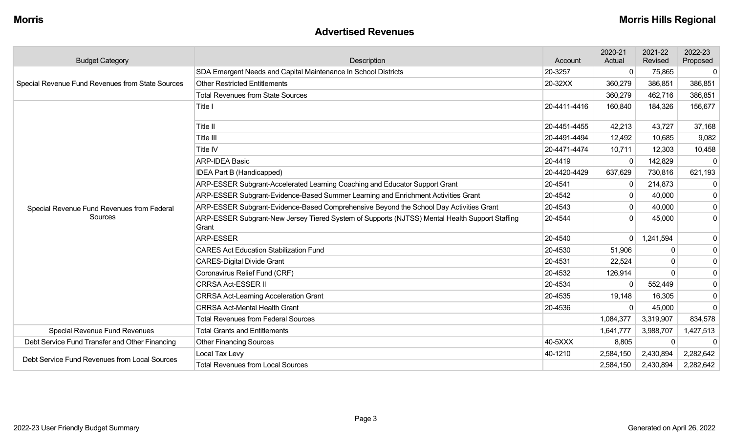#### **Advertised Revenues**

| <b>Budget Category</b>                           | Description                                                                                             | Account      | 2020-21<br>Actual | 2021-22<br>Revised | 2022-23<br>Proposed |
|--------------------------------------------------|---------------------------------------------------------------------------------------------------------|--------------|-------------------|--------------------|---------------------|
|                                                  | SDA Emergent Needs and Capital Maintenance In School Districts                                          | 20-3257      | 0                 | 75,865             | $\mathbf 0$         |
| Special Revenue Fund Revenues from State Sources | <b>Other Restricted Entitlements</b>                                                                    | 20-32XX      | 360,279           | 386,851            | 386,851             |
|                                                  | <b>Total Revenues from State Sources</b>                                                                |              | 360,279           | 462,716            | 386,851             |
|                                                  | Title I                                                                                                 | 20-4411-4416 | 160,840           | 184,326            | 156,677             |
|                                                  | Title II                                                                                                | 20-4451-4455 | 42,213            | 43,727             | 37,168              |
|                                                  | Title III                                                                                               | 20-4491-4494 | 12,492            | 10,685             | 9,082               |
|                                                  | <b>Title IV</b>                                                                                         | 20-4471-4474 | 10,711            | 12,303             | 10,458              |
|                                                  | <b>ARP-IDEA Basic</b>                                                                                   | 20-4419      | $\mathbf 0$       | 142,829            | 0                   |
|                                                  | <b>IDEA Part B (Handicapped)</b>                                                                        | 20-4420-4429 | 637,629           | 730,816            | 621,193             |
|                                                  | ARP-ESSER Subgrant-Accelerated Learning Coaching and Educator Support Grant                             | 20-4541      | $\mathbf{0}$      | 214,873            | 0                   |
|                                                  | ARP-ESSER Subgrant-Evidence-Based Summer Learning and Enrichment Activities Grant                       | 20-4542      | $\mathbf{0}$      | 40,000             | 0                   |
| Special Revenue Fund Revenues from Federal       | ARP-ESSER Subgrant-Evidence-Based Comprehensive Beyond the School Day Activities Grant                  | 20-4543      | 0                 | 40,000             | 0                   |
| Sources                                          | ARP-ESSER Subgrant-New Jersey Tiered System of Supports (NJTSS) Mental Health Support Staffing<br>Grant | 20-4544      | $\Omega$          | 45,000             | 0                   |
|                                                  | ARP-ESSER                                                                                               | 20-4540      | 0 <sup>1</sup>    | 1,241,594          | $\mathbf 0$         |
|                                                  | <b>CARES Act Education Stabilization Fund</b>                                                           | 20-4530      | 51,906            | $\Omega$           | $\mathbf 0$         |
|                                                  | <b>CARES-Digital Divide Grant</b>                                                                       | 20-4531      | 22,524            | $\mathbf{0}$       | $\mathbf 0$         |
|                                                  | Coronavirus Relief Fund (CRF)                                                                           | 20-4532      | 126,914           | $\Omega$           | 0                   |
|                                                  | <b>CRRSA Act-ESSER II</b>                                                                               | 20-4534      | $\Omega$          | 552,449            | $\mathbf 0$         |
|                                                  | <b>CRRSA Act-Learning Acceleration Grant</b>                                                            | 20-4535      | 19,148            | 16,305             | $\mathbf 0$         |
|                                                  | <b>CRRSA Act-Mental Health Grant</b>                                                                    | 20-4536      | $\Omega$          | 45,000             | $\Omega$            |
|                                                  | <b>Total Revenues from Federal Sources</b>                                                              |              | 1,084,377         | 3,319,907          | 834,578             |
| Special Revenue Fund Revenues                    | <b>Total Grants and Entitlements</b><br>1,641,777                                                       |              |                   | 3,988,707          | 1,427,513           |
| Debt Service Fund Transfer and Other Financing   | <b>Other Financing Sources</b>                                                                          | 40-5XXX      | 8,805             | $\Omega$           | $\Omega$            |
| Debt Service Fund Revenues from Local Sources    | Local Tax Levy                                                                                          | 40-1210      | 2,584,150         | 2,430,894          | 2,282,642           |
|                                                  | <b>Total Revenues from Local Sources</b>                                                                |              | 2,584,150         | 2,430,894          | 2,282,642           |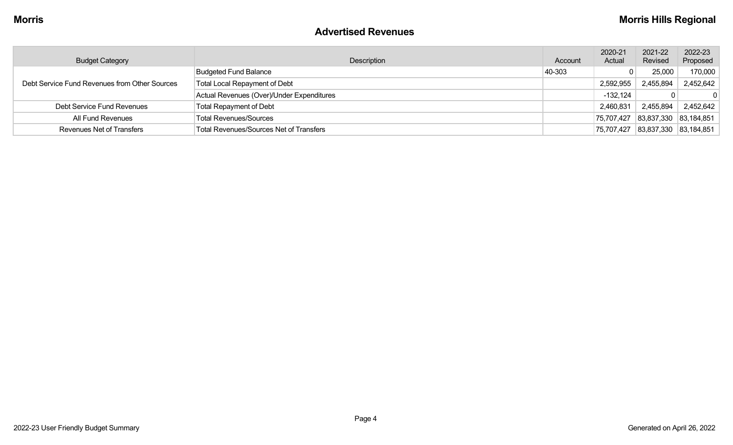#### **Advertised Revenues**

| <b>Budget Category</b>                        | Description                                    | Account | 2020-21<br>Actual | 2021-22<br>Revised               | 2022-23<br>Proposed |
|-----------------------------------------------|------------------------------------------------|---------|-------------------|----------------------------------|---------------------|
| Debt Service Fund Revenues from Other Sources | <b>Budgeted Fund Balance</b>                   | 40-303  |                   | 25,000                           | 170,000             |
|                                               | <b>Total Local Repayment of Debt</b>           |         | 2,592,955         | 2,455,894                        | 2,452,642           |
|                                               | Actual Revenues (Over)/Under Expenditures      |         | $-132,124$        |                                  |                     |
| Debt Service Fund Revenues                    | <b>Total Repayment of Debt</b>                 |         | 2,460,831         | 2,455,894                        | 2,452,642           |
| All Fund Revenues                             | <b>Total Revenues/Sources</b>                  |         |                   | 75,707,427 83,837,330 83,184,851 |                     |
| <b>Revenues Net of Transfers</b>              | <b>Total Revenues/Sources Net of Transfers</b> |         |                   | 75,707,427 83,837,330 83,184,851 |                     |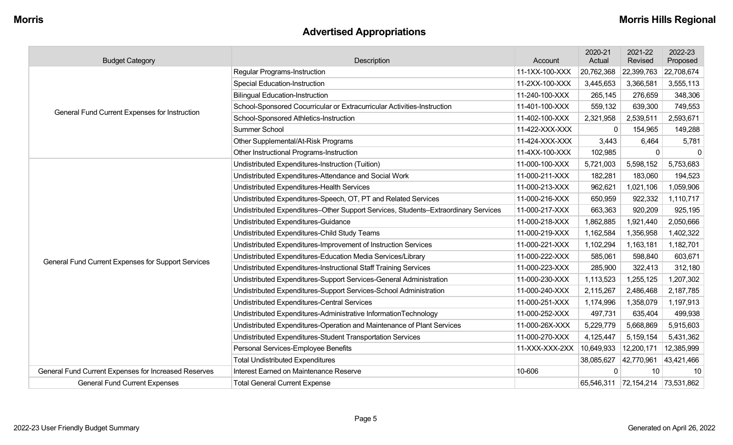## **Advertised Appropriations**

| <b>Budget Category</b>                               | Description                                                                        | Account        | 2020-21<br>Actual | 2021-22<br>Revised               | 2022-23<br>Proposed |
|------------------------------------------------------|------------------------------------------------------------------------------------|----------------|-------------------|----------------------------------|---------------------|
|                                                      | <b>Regular Programs-Instruction</b>                                                | 11-1XX-100-XXX | 20,762,368        | 22,399,763                       | 22,708,674          |
|                                                      | <b>Special Education-Instruction</b>                                               | 11-2XX-100-XXX | 3,445,653         | 3,366,581                        | 3,555,113           |
|                                                      | <b>Bilingual Education-Instruction</b>                                             | 11-240-100-XXX | 265,145           | 276,659                          | 348,306             |
| General Fund Current Expenses for Instruction        | School-Sponsored Cocurricular or Extracurricular Activities-Instruction            | 11-401-100-XXX | 559,132           | 639,300                          | 749,553             |
|                                                      | School-Sponsored Athletics-Instruction                                             | 11-402-100-XXX | 2,321,958         | 2,539,511                        | 2,593,671           |
|                                                      | Summer School                                                                      | 11-422-XXX-XXX | $\Omega$          | 154,965                          | 149,288             |
|                                                      | Other Supplemental/At-Risk Programs                                                | 11-424-XXX-XXX | 3,443             | 6,464                            | 5,781               |
|                                                      | Other Instructional Programs-Instruction                                           | 11-4XX-100-XXX | 102,985           | $\Omega$                         | $\Omega$            |
|                                                      | Undistributed Expenditures-Instruction (Tuition)                                   | 11-000-100-XXX | 5,721,003         | 5,598,152                        | 5,753,683           |
|                                                      | Undistributed Expenditures-Attendance and Social Work                              | 11-000-211-XXX | 182,281           | 183,060                          | 194,523             |
|                                                      | Undistributed Expenditures-Health Services                                         | 11-000-213-XXX | 962,621           | 1,021,106                        | 1,059,906           |
|                                                      | Undistributed Expenditures-Speech, OT, PT and Related Services                     | 11-000-216-XXX | 650,959           | 922,332                          | 1,110,717           |
|                                                      | Undistributed Expenditures-Other Support Services, Students-Extraordinary Services | 11-000-217-XXX | 663,363           | 920,209                          | 925,195             |
|                                                      | Undistributed Expenditures-Guidance                                                | 11-000-218-XXX | 1,862,885         | 1,921,440                        | 2,050,666           |
|                                                      | Undistributed Expenditures-Child Study Teams                                       | 11-000-219-XXX | 1,162,584         | 1,356,958                        | 1,402,322           |
|                                                      | Undistributed Expenditures-Improvement of Instruction Services                     | 11-000-221-XXX | 1,102,294         | 1,163,181                        | 1,182,701           |
| General Fund Current Expenses for Support Services   | Undistributed Expenditures-Education Media Services/Library                        | 11-000-222-XXX | 585,061           | 598,840                          | 603,671             |
|                                                      | Undistributed Expenditures-Instructional Staff Training Services                   | 11-000-223-XXX | 285,900           | 322,413                          | 312,180             |
|                                                      | Undistributed Expenditures-Support Services-General Administration                 | 11-000-230-XXX | 1,113,523         | 1,255,125                        | 1,207,302           |
|                                                      | Undistributed Expenditures-Support Services-School Administration                  | 11-000-240-XXX | 2,115,267         | 2,486,468                        | 2,187,785           |
|                                                      | Undistributed Expenditures-Central Services                                        | 11-000-251-XXX | 1,174,996         | 1,358,079                        | 1,197,913           |
|                                                      | Undistributed Expenditures-Administrative InformationTechnology                    | 11-000-252-XXX | 497,731           | 635,404                          | 499,938             |
|                                                      | Undistributed Expenditures-Operation and Maintenance of Plant Services             | 11-000-26X-XXX | 5,229,779         | 5,668,869                        | 5,915,603           |
|                                                      | Undistributed Expenditures-Student Transportation Services                         | 11-000-270-XXX | 4,125,447         | 5,159,154                        | 5,431,362           |
|                                                      | Personal Services-Employee Benefits                                                | 11-XXX-XXX-2XX | 10,649,933        | 12,200,171                       | 12,385,999          |
|                                                      | <b>Total Undistributed Expenditures</b>                                            |                | 38,085,627        | 42,770,961                       | 43,421,466          |
| General Fund Current Expenses for Increased Reserves | Interest Earned on Maintenance Reserve                                             | 10-606         | $\Omega$          | 10                               | 10                  |
| <b>General Fund Current Expenses</b>                 | <b>Total General Current Expense</b>                                               |                |                   | 65,546,311 72,154,214 73,531,862 |                     |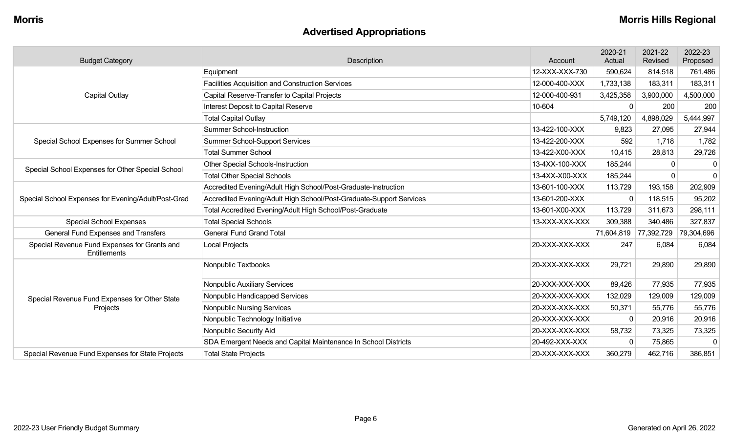## **Advertised Appropriations**

| <b>Budget Category</b>                                       | Description                                                         | Account        | 2020-21<br>Actual     | 2021-22<br>Revised | 2022-23<br>Proposed |
|--------------------------------------------------------------|---------------------------------------------------------------------|----------------|-----------------------|--------------------|---------------------|
|                                                              | Equipment                                                           | 12-XXX-XXX-730 | 590,624               | 814,518            | 761,486             |
|                                                              | <b>Facilities Acquisition and Construction Services</b>             | 12-000-400-XXX | 1,733,138             | 183,311            | 183,311             |
| <b>Capital Outlay</b>                                        | Capital Reserve-Transfer to Capital Projects                        | 12-000-400-931 | 3,425,358             | 3,900,000          | 4,500,000           |
|                                                              | Interest Deposit to Capital Reserve                                 | 10-604         | $\mathbf 0$           | 200                | 200                 |
|                                                              | <b>Total Capital Outlay</b>                                         |                | 5,749,120             | 4,898,029          | 5,444,997           |
|                                                              | <b>Summer School-Instruction</b>                                    | 13-422-100-XXX | 9,823                 | 27,095             | 27,944              |
| Special School Expenses for Summer School                    | Summer School-Support Services                                      | 13-422-200-XXX | 592                   | 1,718              | 1,782               |
|                                                              | <b>Total Summer School</b>                                          | 13-422-X00-XXX | 10,415                | 28,813             | 29,726              |
|                                                              | <b>Other Special Schools-Instruction</b>                            | 13-4XX-100-XXX | 185,244               | 0                  | 0                   |
| Special School Expenses for Other Special School             | <b>Total Other Special Schools</b>                                  | 13-4XX-X00-XXX | 185,244               |                    | $\mathbf{0}$        |
|                                                              | Accredited Evening/Adult High School/Post-Graduate-Instruction      | 13-601-100-XXX | 113,729               | 193,158            | 202,909             |
| Special School Expenses for Evening/Adult/Post-Grad          | Accredited Evening/Adult High School/Post-Graduate-Support Services | 13-601-200-XXX | $\mathbf{0}$          | 118,515            | 95,202              |
|                                                              | Total Accredited Evening/Adult High School/Post-Graduate            | 13-601-X00-XXX | 113,729               | 311,673            | 298,111             |
| <b>Special School Expenses</b>                               | <b>Total Special Schools</b>                                        | 13-XXX-XXX-XXX | 309,388               | 340,486            | 327,837             |
| General Fund Expenses and Transfers                          | <b>General Fund Grand Total</b>                                     |                | 71,604,819 77,392,729 |                    | 79,304,696          |
| Special Revenue Fund Expenses for Grants and<br>Entitlements | Local Projects                                                      | 20-XXX-XXX-XXX | 247                   | 6,084              | 6,084               |
|                                                              | Nonpublic Textbooks                                                 | 20-XXX-XXX-XXX | 29,721                | 29,890             | 29,890              |
|                                                              | Nonpublic Auxiliary Services                                        | 20-XXX-XXX-XXX | 89,426                | 77,935             | 77,935              |
| Special Revenue Fund Expenses for Other State                | Nonpublic Handicapped Services                                      | 20-XXX-XXX-XXX | 132,029               | 129,009            | 129,009             |
| Projects                                                     | <b>Nonpublic Nursing Services</b>                                   | 20-XXX-XXX-XXX | 50,371                | 55,776             | 55,776              |
|                                                              | Nonpublic Technology Initiative                                     | 20-XXX-XXX-XXX | $\Omega$              | 20,916             | 20,916              |
|                                                              | Nonpublic Security Aid                                              | 20-XXX-XXX-XXX | 58,732                | 73,325             | 73,325              |
|                                                              | SDA Emergent Needs and Capital Maintenance In School Districts      | 20-492-XXX-XXX | $\Omega$              | 75,865             | $\mathbf{0}$        |
| Special Revenue Fund Expenses for State Projects             | <b>Total State Projects</b>                                         | 20-XXX-XXX-XXX | 360,279               | 462,716            | 386,851             |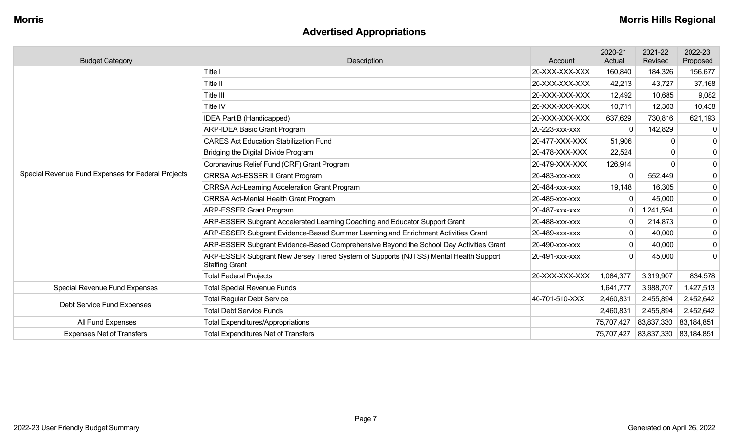## **Advertised Appropriations**

| <b>Budget Category</b>                             | Description                                                                                                    | Account        | 2020-21<br>Actual | 2021-22<br>Revised    | 2022-23<br>Proposed |
|----------------------------------------------------|----------------------------------------------------------------------------------------------------------------|----------------|-------------------|-----------------------|---------------------|
|                                                    | Title I                                                                                                        | 20-XXX-XXX-XXX | 160,840           | 184,326               | 156,677             |
|                                                    | Title II                                                                                                       | 20-XXX-XXX-XXX | 42,213            | 43,727                | 37,168              |
|                                                    | Title III                                                                                                      | 20-XXX-XXX-XXX | 12,492            | 10,685                | 9,082               |
|                                                    | Title IV                                                                                                       | 20-XXX-XXX-XXX | 10,711            | 12,303                | 10,458              |
|                                                    | <b>IDEA Part B (Handicapped)</b>                                                                               | 20-XXX-XXX-XXX | 637,629           | 730,816               | 621,193             |
|                                                    | <b>ARP-IDEA Basic Grant Program</b>                                                                            | 20-223-xxx-xxx | $\Omega$          | 142,829               | -0                  |
|                                                    | <b>CARES Act Education Stabilization Fund</b>                                                                  | 20-477-XXX-XXX | 51,906            | $\Omega$              | 0                   |
|                                                    | Bridging the Digital Divide Program                                                                            | 20-478-XXX-XXX | 22,524            | $\Omega$              | 0                   |
|                                                    | Coronavirus Relief Fund (CRF) Grant Program                                                                    | 20-479-XXX-XXX | 126,914           | $\Omega$              | 0                   |
| Special Revenue Fund Expenses for Federal Projects | CRRSA Act-ESSER II Grant Program                                                                               | 20-483-xxx-xxx |                   | 552,449               | $\mathbf 0$         |
|                                                    | <b>CRRSA Act-Learning Acceleration Grant Program</b>                                                           | 20-484-xxx-xxx | 19,148            | 16,305                | $\mathbf 0$         |
|                                                    | <b>CRRSA Act-Mental Health Grant Program</b>                                                                   | 20-485-XXX-XXX |                   | 45,000                | 0                   |
|                                                    | <b>ARP-ESSER Grant Program</b>                                                                                 | 20-487-xxx-xxx | $\mathbf{0}$      | 1,241,594             | 0                   |
|                                                    | ARP-ESSER Subgrant Accelerated Learning Coaching and Educator Support Grant                                    | 20-488-XXX-XXX | $\mathbf 0$       | 214,873               | 0                   |
|                                                    | ARP-ESSER Subgrant Evidence-Based Summer Learning and Enrichment Activities Grant                              | 20-489-XXX-XXX | 0                 | 40,000                | $\mathbf 0$         |
|                                                    | ARP-ESSER Subgrant Evidence-Based Comprehensive Beyond the School Day Activities Grant                         | 20-490-XXX-XXX | $\mathbf{0}$      | 40,000                | 0                   |
|                                                    | ARP-ESSER Subgrant New Jersey Tiered System of Supports (NJTSS) Mental Health Support<br><b>Staffing Grant</b> | 20-491-xxx-xxx |                   | 45,000                | $\Omega$            |
|                                                    | <b>Total Federal Projects</b>                                                                                  | 20-XXX-XXX-XXX | 1,084,377         | 3,319,907             | 834,578             |
| Special Revenue Fund Expenses                      | <b>Total Special Revenue Funds</b>                                                                             |                | 1,641,777         | 3,988,707             | 1,427,513           |
| Debt Service Fund Expenses                         | <b>Total Regular Debt Service</b>                                                                              | 40-701-510-XXX | 2,460,831         | 2,455,894             | 2,452,642           |
|                                                    | <b>Total Debt Service Funds</b>                                                                                |                | 2,460,831         | 2,455,894             | 2,452,642           |
| All Fund Expenses                                  | <b>Total Expenditures/Appropriations</b>                                                                       |                | 75,707,427        | 83,837,330            | 83,184,851          |
| <b>Expenses Net of Transfers</b>                   | <b>Total Expenditures Net of Transfers</b>                                                                     |                | 75,707,427        | 83,837,330 83,184,851 |                     |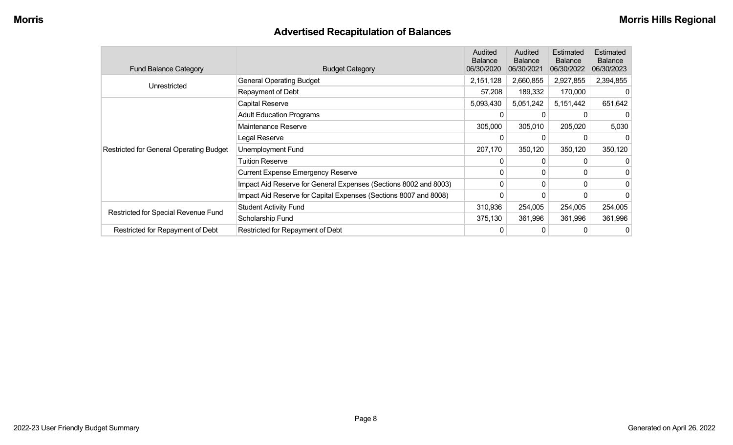## **Advertised Recapitulation of Balances**

| <b>Fund Balance Category</b>                   | <b>Budget Category</b>                                           | Audited<br><b>Balance</b><br>06/30/2020 | Audited<br><b>Balance</b><br>06/30/2021 | Estimated<br><b>Balance</b><br>06/30/2022 | Estimated<br><b>Balance</b><br>06/30/2023 |
|------------------------------------------------|------------------------------------------------------------------|-----------------------------------------|-----------------------------------------|-------------------------------------------|-------------------------------------------|
| Unrestricted                                   | <b>General Operating Budget</b>                                  | 2,151,128                               | 2,660,855                               | 2,927,855                                 | 2,394,855                                 |
|                                                | Repayment of Debt                                                | 57,208                                  | 189,332                                 | 170,000                                   |                                           |
|                                                | Capital Reserve                                                  | 5,093,430                               | 5,051,242                               | 5,151,442                                 | 651,642                                   |
|                                                | <b>Adult Education Programs</b>                                  |                                         |                                         |                                           |                                           |
|                                                | Maintenance Reserve                                              | 305,000                                 | 305,010                                 | 205,020                                   | 5,030                                     |
|                                                | Legal Reserve                                                    | 0                                       | 0                                       |                                           |                                           |
| <b>Restricted for General Operating Budget</b> | <b>Unemployment Fund</b>                                         | 207,170                                 | 350,120                                 | 350,120                                   | 350,120                                   |
|                                                | <b>Tuition Reserve</b>                                           | 0                                       | 0                                       | 0                                         |                                           |
|                                                | <b>Current Expense Emergency Reserve</b>                         | 0                                       | 0                                       | 0                                         |                                           |
|                                                | Impact Aid Reserve for General Expenses (Sections 8002 and 8003) | $\Omega$                                | 0                                       | 0                                         | 0                                         |
|                                                | Impact Aid Reserve for Capital Expenses (Sections 8007 and 8008) | 0                                       | 0                                       | 0                                         |                                           |
|                                                | <b>Student Activity Fund</b>                                     | 310,936                                 | 254,005                                 | 254,005                                   | 254,005                                   |
| Restricted for Special Revenue Fund            | Scholarship Fund                                                 | 375,130                                 | 361,996                                 | 361,996                                   | 361,996                                   |
| Restricted for Repayment of Debt               | Restricted for Repayment of Debt                                 | 0                                       | 0                                       | 0                                         | 0                                         |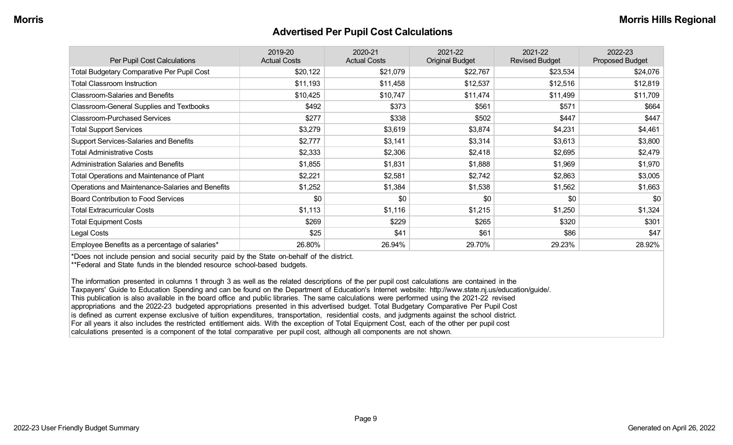#### **Advertised Per Pupil Cost Calculations**

| Per Pupil Cost Calculations                       | 2019-20<br><b>Actual Costs</b> | 2020-21<br><b>Actual Costs</b> | 2021-22<br><b>Original Budget</b> | 2021-22<br><b>Revised Budget</b> | 2022-23<br><b>Proposed Budget</b> |
|---------------------------------------------------|--------------------------------|--------------------------------|-----------------------------------|----------------------------------|-----------------------------------|
| <b>Total Budgetary Comparative Per Pupil Cost</b> | \$20,122                       | \$21,079                       | \$22,767                          | \$23,534                         | \$24,076                          |
| <b>Total Classroom Instruction</b>                | \$11,193                       | \$11,458                       | \$12,537                          | \$12,516                         | \$12,819                          |
| <b>Classroom-Salaries and Benefits</b>            | \$10,425                       | \$10,747                       | \$11,474                          | \$11,499                         | \$11,709                          |
| Classroom-General Supplies and Textbooks          | \$492                          | \$373                          | \$561                             | \$571                            | \$664                             |
| <b>Classroom-Purchased Services</b>               | \$277                          | \$338                          | \$502                             | \$447                            | \$447                             |
| <b>Total Support Services</b>                     | \$3,279                        | \$3,619                        | \$3,874                           | \$4,231                          | \$4,461                           |
| Support Services-Salaries and Benefits            | \$2,777                        | \$3,141                        | \$3,314                           | \$3,613                          | \$3,800                           |
| <b>Total Administrative Costs</b>                 | \$2,333                        | \$2,306                        | \$2,418                           | \$2,695                          | \$2,479                           |
| <b>Administration Salaries and Benefits</b>       | \$1,855                        | \$1,831                        | \$1,888                           | \$1,969                          | \$1,970                           |
| Total Operations and Maintenance of Plant         | \$2,221                        | \$2,581                        | \$2,742                           | \$2,863                          | \$3,005                           |
| Operations and Maintenance-Salaries and Benefits  | \$1,252                        | \$1,384                        | \$1,538                           | \$1,562                          | \$1,663                           |
| <b>Board Contribution to Food Services</b>        | \$0                            | \$0                            | \$0                               | \$0                              | \$0                               |
| <b>Total Extracurricular Costs</b>                | \$1,113                        | \$1,116                        | \$1,215                           | \$1,250                          | \$1,324                           |
| <b>Total Equipment Costs</b>                      | \$269                          | \$229                          | \$265                             | \$320                            | \$301                             |
| Legal Costs                                       | \$25                           | \$41                           | \$61                              | \$86                             | \$47                              |
| Employee Benefits as a percentage of salaries*    | 26.80%                         | 26.94%                         | 29.70%                            | 29.23%                           | 28.92%                            |

\*Does not include pension and social security paid by the State on-behalf of the district.

\*\*Federal and State funds in the blended resource school-based budgets.

The information presented in columns 1 through 3 as well as the related descriptions of the per pupil cost calculations are contained in the Taxpayers' Guide to Education Spending and can be found on the Department of Education's Internet website: http://www.state.nj.us/education/guide/. This publication is also available in the board office and public libraries. The same calculations were performed using the 2021-22 revised appropriations and the 2022-23 budgeted appropriations presented in this advertised budget. Total Budgetary Comparative Per Pupil Cost is defined as current expense exclusive of tuition expenditures, transportation, residential costs, and judgments against the school district. For all years it also includes the restricted entitlement aids. With the exception of Total Equipment Cost, each of the other per pupil cost calculations presented is a component of the total comparative per pupil cost, although all components are not shown.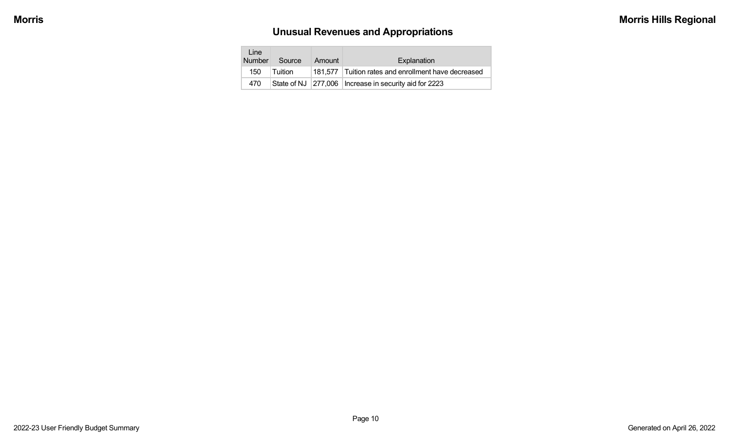# **Unusual Revenues and Appropriations**

| Line<br><b>Number</b> | Source   | Amount | Explanation                                             |
|-----------------------|----------|--------|---------------------------------------------------------|
| 150                   | ⊺Tuition |        | 181,577 Tuition rates and enrollment have decreased     |
| 470                   |          |        | State of NJ 277,006   Increase in security aid for 2223 |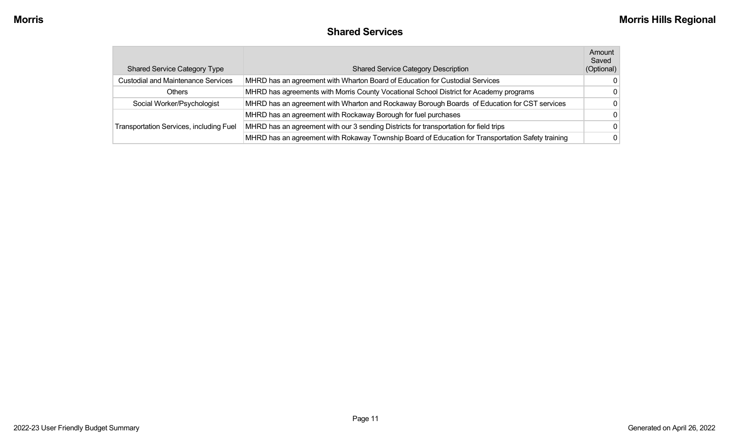| <b>Shared Services</b> |  |
|------------------------|--|
|------------------------|--|

| <b>Shared Service Category Type</b>       | <b>Shared Service Category Description</b>                                                        | Amount<br>Saved<br>(Optional) |
|-------------------------------------------|---------------------------------------------------------------------------------------------------|-------------------------------|
| <b>Custodial and Maintenance Services</b> | MHRD has an agreement with Wharton Board of Education for Custodial Services                      |                               |
| Others                                    | MHRD has agreements with Morris County Vocational School District for Academy programs            |                               |
| Social Worker/Psychologist                | MHRD has an agreement with Wharton and Rockaway Borough Boards of Education for CST services      |                               |
|                                           | MHRD has an agreement with Rockaway Borough for fuel purchases                                    | <sup>0</sup>                  |
| Transportation Services, including Fuel   | MHRD has an agreement with our 3 sending Districts for transportation for field trips             |                               |
|                                           | MHRD has an agreement with Rokaway Township Board of Education for Transportation Safety training |                               |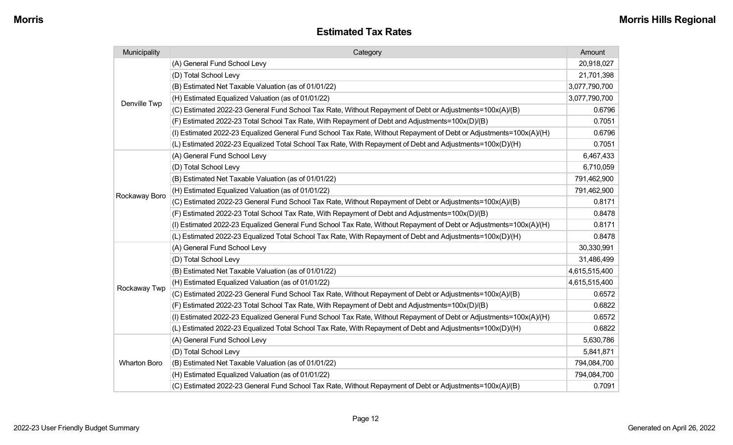#### **Estimated Tax Rates**

| Municipality        | Category                                                                                                           | Amount        |
|---------------------|--------------------------------------------------------------------------------------------------------------------|---------------|
|                     | (A) General Fund School Levy                                                                                       | 20,918,027    |
|                     | (D) Total School Levy                                                                                              | 21,701,398    |
|                     | (B) Estimated Net Taxable Valuation (as of 01/01/22)                                                               | 3,077,790,700 |
| Denville Twp        | (H) Estimated Equalized Valuation (as of 01/01/22)                                                                 | 3,077,790,700 |
|                     | (C) Estimated 2022-23 General Fund School Tax Rate, Without Repayment of Debt or Adjustments=100x(A)/(B)           | 0.6796        |
|                     | (F) Estimated 2022-23 Total School Tax Rate, With Repayment of Debt and Adjustments=100x(D)/(B)                    | 0.7051        |
|                     | (I) Estimated 2022-23 Equalized General Fund School Tax Rate, Without Repayment of Debt or Adjustments=100x(A)/(H) | 0.6796        |
|                     | (L) Estimated 2022-23 Equalized Total School Tax Rate, With Repayment of Debt and Adjustments=100x(D)/(H)          | 0.7051        |
|                     | (A) General Fund School Levy                                                                                       | 6,467,433     |
|                     | (D) Total School Levy                                                                                              | 6,710,059     |
|                     | (B) Estimated Net Taxable Valuation (as of 01/01/22)                                                               | 791,462,900   |
| Rockaway Boro       | (H) Estimated Equalized Valuation (as of 01/01/22)                                                                 | 791,462,900   |
|                     | (C) Estimated 2022-23 General Fund School Tax Rate, Without Repayment of Debt or Adjustments=100x(A)/(B)           | 0.8171        |
|                     | (F) Estimated 2022-23 Total School Tax Rate, With Repayment of Debt and Adjustments=100x(D)/(B)                    | 0.8478        |
|                     | (I) Estimated 2022-23 Equalized General Fund School Tax Rate, Without Repayment of Debt or Adjustments=100x(A)/(H) | 0.8171        |
|                     | (L) Estimated 2022-23 Equalized Total School Tax Rate, With Repayment of Debt and Adjustments=100x(D)/(H)          | 0.8478        |
|                     | (A) General Fund School Levy                                                                                       | 30,330,991    |
|                     | (D) Total School Levy                                                                                              | 31,486,499    |
|                     | (B) Estimated Net Taxable Valuation (as of 01/01/22)                                                               | 4,615,515,400 |
| Rockaway Twp        | (H) Estimated Equalized Valuation (as of 01/01/22)                                                                 | 4,615,515,400 |
|                     | (C) Estimated 2022-23 General Fund School Tax Rate, Without Repayment of Debt or Adjustments=100x(A)/(B)           | 0.6572        |
|                     | (F) Estimated 2022-23 Total School Tax Rate, With Repayment of Debt and Adjustments=100x(D)/(B)                    | 0.6822        |
|                     | (I) Estimated 2022-23 Equalized General Fund School Tax Rate, Without Repayment of Debt or Adjustments=100x(A)/(H) | 0.6572        |
|                     | (L) Estimated 2022-23 Equalized Total School Tax Rate, With Repayment of Debt and Adjustments=100x(D)/(H)          | 0.6822        |
| <b>Wharton Boro</b> | (A) General Fund School Levy                                                                                       | 5,630,786     |
|                     | (D) Total School Levy                                                                                              | 5,841,871     |
|                     | (B) Estimated Net Taxable Valuation (as of 01/01/22)                                                               | 794,084,700   |
|                     | (H) Estimated Equalized Valuation (as of 01/01/22)                                                                 | 794,084,700   |
|                     | (C) Estimated 2022-23 General Fund School Tax Rate, Without Repayment of Debt or Adjustments=100x(A)/(B)           | 0.7091        |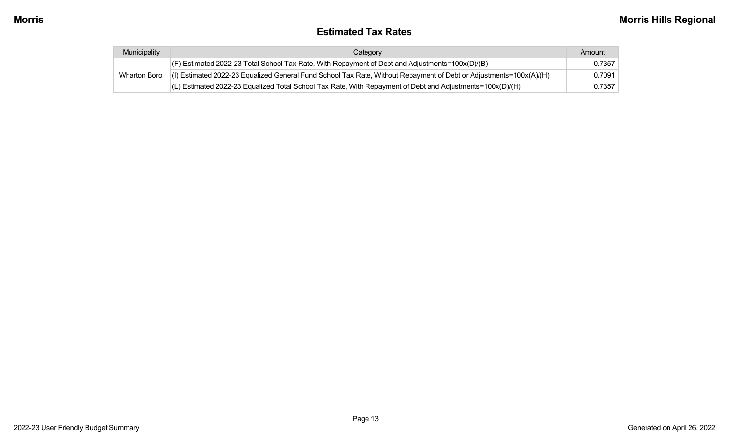#### **Estimated Tax Rates**

| Municipality | Category                                                                                                           | Amount |
|--------------|--------------------------------------------------------------------------------------------------------------------|--------|
|              | $ $ (F) Estimated 2022-23 Total School Tax Rate, With Repayment of Debt and Adjustments=100x(D)/(B)                | 0.7357 |
| Wharton Boro | (I) Estimated 2022-23 Equalized General Fund School Tax Rate, Without Repayment of Debt or Adjustments=100x(A)/(H) | 0.7091 |
|              | $(L)$ Estimated 2022-23 Equalized Total School Tax Rate, With Repayment of Debt and Adjustments=100x(D)/(H)        | 0.7357 |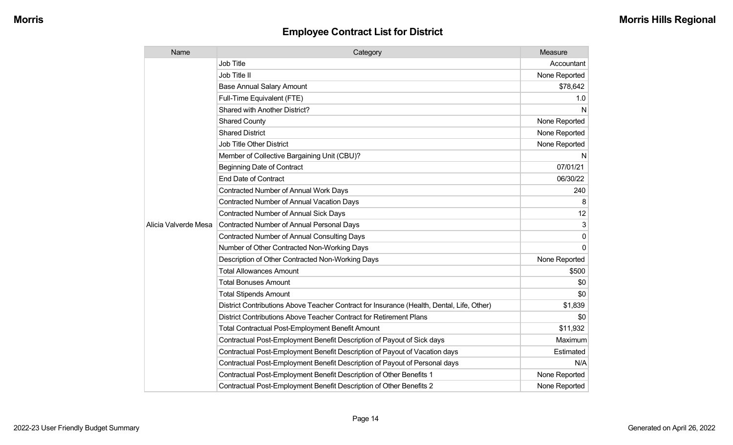| Name                 | Category                                                                                  | Measure       |
|----------------------|-------------------------------------------------------------------------------------------|---------------|
|                      | <b>Job Title</b>                                                                          | Accountant    |
|                      | Job Title II                                                                              | None Reported |
|                      | <b>Base Annual Salary Amount</b>                                                          | \$78,642      |
|                      | Full-Time Equivalent (FTE)                                                                | 1.0           |
|                      | <b>Shared with Another District?</b>                                                      | N             |
|                      | <b>Shared County</b>                                                                      | None Reported |
|                      | <b>Shared District</b>                                                                    | None Reported |
|                      | <b>Job Title Other District</b>                                                           | None Reported |
|                      | Member of Collective Bargaining Unit (CBU)?                                               | N             |
|                      | <b>Beginning Date of Contract</b>                                                         | 07/01/21      |
|                      | <b>End Date of Contract</b>                                                               | 06/30/22      |
|                      | Contracted Number of Annual Work Days                                                     | 240           |
|                      | <b>Contracted Number of Annual Vacation Days</b>                                          | 8             |
|                      | <b>Contracted Number of Annual Sick Days</b>                                              | 12            |
| Alicia Valverde Mesa | Contracted Number of Annual Personal Days                                                 | 3             |
|                      | <b>Contracted Number of Annual Consulting Days</b>                                        | 0             |
|                      | Number of Other Contracted Non-Working Days                                               | $\Omega$      |
|                      | Description of Other Contracted Non-Working Days                                          | None Reported |
|                      | <b>Total Allowances Amount</b>                                                            | \$500         |
|                      | <b>Total Bonuses Amount</b>                                                               | \$0           |
|                      | <b>Total Stipends Amount</b>                                                              | \$0           |
|                      | District Contributions Above Teacher Contract for Insurance (Health, Dental, Life, Other) | \$1,839       |
|                      | District Contributions Above Teacher Contract for Retirement Plans                        | \$0           |
|                      | Total Contractual Post-Employment Benefit Amount                                          | \$11,932      |
|                      | Contractual Post-Employment Benefit Description of Payout of Sick days                    | Maximum       |
|                      | Contractual Post-Employment Benefit Description of Payout of Vacation days                | Estimated     |
|                      | Contractual Post-Employment Benefit Description of Payout of Personal days                | N/A           |
|                      | Contractual Post-Employment Benefit Description of Other Benefits 1                       | None Reported |
|                      | Contractual Post-Employment Benefit Description of Other Benefits 2                       | None Reported |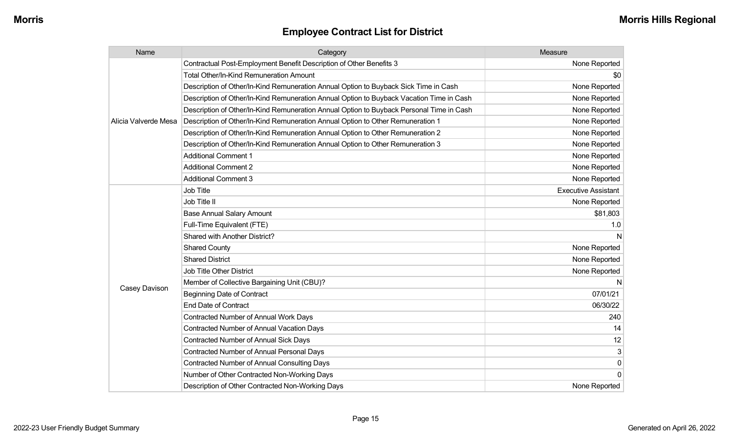| Name                 | Category                                                                                 | Measure                    |
|----------------------|------------------------------------------------------------------------------------------|----------------------------|
|                      | Contractual Post-Employment Benefit Description of Other Benefits 3                      | None Reported              |
|                      | <b>Total Other/In-Kind Remuneration Amount</b>                                           | \$0                        |
|                      | Description of Other/In-Kind Remuneration Annual Option to Buyback Sick Time in Cash     | None Reported              |
|                      | Description of Other/In-Kind Remuneration Annual Option to Buyback Vacation Time in Cash | None Reported              |
|                      | Description of Other/In-Kind Remuneration Annual Option to Buyback Personal Time in Cash | None Reported              |
| Alicia Valverde Mesa | Description of Other/In-Kind Remuneration Annual Option to Other Remuneration 1          | None Reported              |
|                      | Description of Other/In-Kind Remuneration Annual Option to Other Remuneration 2          | None Reported              |
|                      | Description of Other/In-Kind Remuneration Annual Option to Other Remuneration 3          | None Reported              |
|                      | <b>Additional Comment 1</b>                                                              | None Reported              |
|                      | <b>Additional Comment 2</b>                                                              | None Reported              |
|                      | <b>Additional Comment 3</b>                                                              | None Reported              |
|                      | Job Title                                                                                | <b>Executive Assistant</b> |
|                      | Job Title II                                                                             | None Reported              |
|                      | <b>Base Annual Salary Amount</b>                                                         | \$81,803                   |
|                      | Full-Time Equivalent (FTE)                                                               | 1.0                        |
|                      | Shared with Another District?                                                            |                            |
|                      | <b>Shared County</b>                                                                     | None Reported              |
|                      | <b>Shared District</b>                                                                   | None Reported              |
|                      | Job Title Other District                                                                 | None Reported              |
|                      | Member of Collective Bargaining Unit (CBU)?                                              |                            |
| Casey Davison        | <b>Beginning Date of Contract</b>                                                        | 07/01/21                   |
|                      | <b>End Date of Contract</b>                                                              | 06/30/22                   |
|                      | Contracted Number of Annual Work Days                                                    | 240                        |
|                      | <b>Contracted Number of Annual Vacation Days</b>                                         | 14                         |
|                      | <b>Contracted Number of Annual Sick Days</b>                                             | 12                         |
|                      | Contracted Number of Annual Personal Days                                                | 3                          |
|                      | Contracted Number of Annual Consulting Days                                              | $\pmb{0}$                  |
|                      | Number of Other Contracted Non-Working Days                                              | 0 <sup>1</sup>             |
|                      | Description of Other Contracted Non-Working Days                                         | None Reported              |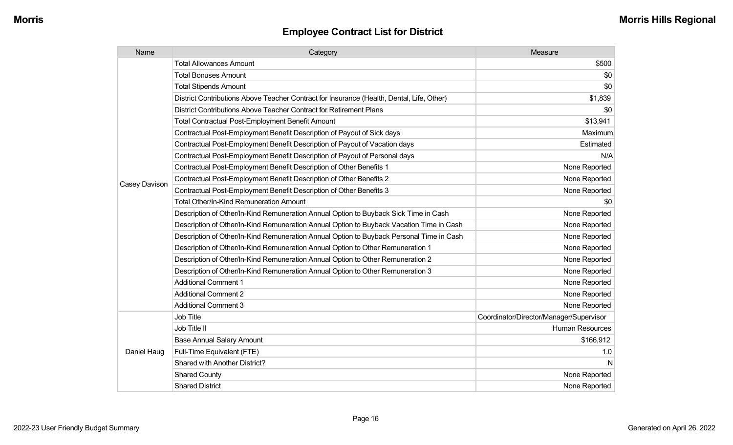| Name          | Category                                                                                  | Measure                                 |
|---------------|-------------------------------------------------------------------------------------------|-----------------------------------------|
|               | <b>Total Allowances Amount</b>                                                            | \$500                                   |
|               | <b>Total Bonuses Amount</b>                                                               | \$0                                     |
|               | <b>Total Stipends Amount</b>                                                              | \$0                                     |
|               | District Contributions Above Teacher Contract for Insurance (Health, Dental, Life, Other) | \$1,839                                 |
|               | District Contributions Above Teacher Contract for Retirement Plans                        | \$0                                     |
|               | <b>Total Contractual Post-Employment Benefit Amount</b>                                   | \$13,941                                |
|               | Contractual Post-Employment Benefit Description of Payout of Sick days                    | Maximum                                 |
|               | Contractual Post-Employment Benefit Description of Payout of Vacation days                | Estimated                               |
|               | Contractual Post-Employment Benefit Description of Payout of Personal days                | N/A                                     |
|               | Contractual Post-Employment Benefit Description of Other Benefits 1                       | None Reported                           |
|               | Contractual Post-Employment Benefit Description of Other Benefits 2                       | None Reported                           |
| Casey Davison | Contractual Post-Employment Benefit Description of Other Benefits 3                       | None Reported                           |
|               | <b>Total Other/In-Kind Remuneration Amount</b>                                            | \$0                                     |
|               | Description of Other/In-Kind Remuneration Annual Option to Buyback Sick Time in Cash      | None Reported                           |
|               | Description of Other/In-Kind Remuneration Annual Option to Buyback Vacation Time in Cash  | None Reported                           |
|               | Description of Other/In-Kind Remuneration Annual Option to Buyback Personal Time in Cash  | None Reported                           |
|               | Description of Other/In-Kind Remuneration Annual Option to Other Remuneration 1           | None Reported                           |
|               | Description of Other/In-Kind Remuneration Annual Option to Other Remuneration 2           | None Reported                           |
|               | Description of Other/In-Kind Remuneration Annual Option to Other Remuneration 3           | None Reported                           |
|               | <b>Additional Comment 1</b>                                                               | None Reported                           |
|               | <b>Additional Comment 2</b>                                                               | None Reported                           |
|               | <b>Additional Comment 3</b>                                                               | None Reported                           |
|               | Job Title                                                                                 | Coordinator/Director/Manager/Supervisor |
| Daniel Haug   | Job Title II                                                                              | <b>Human Resources</b>                  |
|               | <b>Base Annual Salary Amount</b>                                                          | \$166,912                               |
|               | Full-Time Equivalent (FTE)                                                                | 1.0                                     |
|               | Shared with Another District?                                                             | N                                       |
|               | <b>Shared County</b>                                                                      | None Reported                           |
|               | <b>Shared District</b>                                                                    | None Reported                           |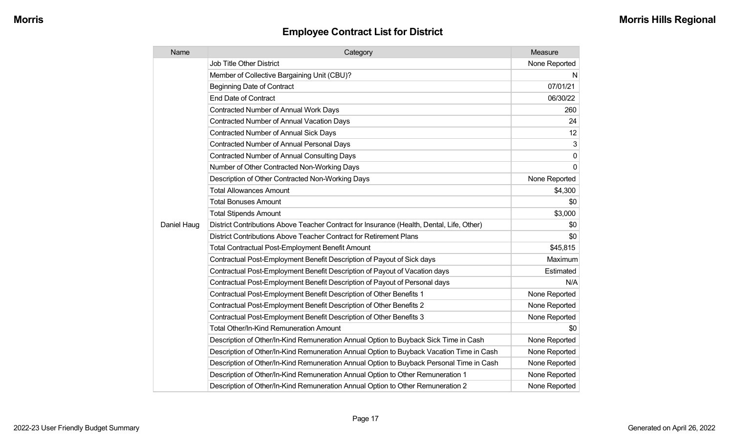| Name        | Category                                                                                  | Measure       |
|-------------|-------------------------------------------------------------------------------------------|---------------|
|             | <b>Job Title Other District</b>                                                           | None Reported |
|             | Member of Collective Bargaining Unit (CBU)?                                               | N             |
|             | <b>Beginning Date of Contract</b>                                                         | 07/01/21      |
|             | <b>End Date of Contract</b>                                                               | 06/30/22      |
|             | <b>Contracted Number of Annual Work Days</b>                                              | 260           |
|             | Contracted Number of Annual Vacation Days                                                 | 24            |
|             | Contracted Number of Annual Sick Days                                                     | 12            |
|             | <b>Contracted Number of Annual Personal Days</b>                                          | 3             |
|             | <b>Contracted Number of Annual Consulting Days</b>                                        | $\mathbf 0$   |
|             | Number of Other Contracted Non-Working Days                                               | $\mathbf{0}$  |
|             | Description of Other Contracted Non-Working Days                                          | None Reported |
|             | <b>Total Allowances Amount</b>                                                            | \$4,300       |
|             | <b>Total Bonuses Amount</b>                                                               | \$0           |
|             | <b>Total Stipends Amount</b>                                                              | \$3,000       |
| Daniel Haug | District Contributions Above Teacher Contract for Insurance (Health, Dental, Life, Other) | \$0           |
|             | District Contributions Above Teacher Contract for Retirement Plans                        | \$0           |
|             | Total Contractual Post-Employment Benefit Amount                                          | \$45,815      |
|             | Contractual Post-Employment Benefit Description of Payout of Sick days                    | Maximum       |
|             | Contractual Post-Employment Benefit Description of Payout of Vacation days                | Estimated     |
|             | Contractual Post-Employment Benefit Description of Payout of Personal days                | N/A           |
|             | Contractual Post-Employment Benefit Description of Other Benefits 1                       | None Reported |
|             | Contractual Post-Employment Benefit Description of Other Benefits 2                       | None Reported |
|             | Contractual Post-Employment Benefit Description of Other Benefits 3                       | None Reported |
|             | <b>Total Other/In-Kind Remuneration Amount</b>                                            | \$0           |
|             | Description of Other/In-Kind Remuneration Annual Option to Buyback Sick Time in Cash      | None Reported |
|             | Description of Other/In-Kind Remuneration Annual Option to Buyback Vacation Time in Cash  | None Reported |
|             | Description of Other/In-Kind Remuneration Annual Option to Buyback Personal Time in Cash  | None Reported |
|             | Description of Other/In-Kind Remuneration Annual Option to Other Remuneration 1           | None Reported |
|             | Description of Other/In-Kind Remuneration Annual Option to Other Remuneration 2           | None Reported |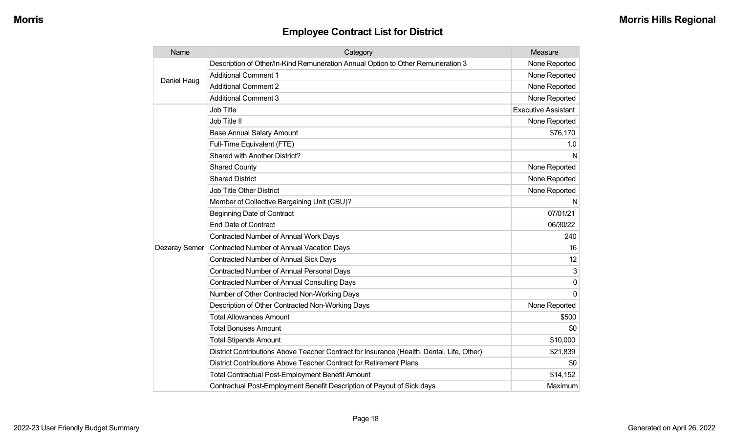| Name          | Category                                                                                  | Measure                    |
|---------------|-------------------------------------------------------------------------------------------|----------------------------|
| Daniel Haug   | Description of Other/In-Kind Remuneration Annual Option to Other Remuneration 3           | None Reported              |
|               | <b>Additional Comment 1</b>                                                               | None Reported              |
|               | <b>Additional Comment 2</b>                                                               | None Reported              |
|               | <b>Additional Comment 3</b>                                                               | None Reported              |
|               | Job Title                                                                                 | <b>Executive Assistant</b> |
|               | Job Title II                                                                              | None Reported              |
|               | <b>Base Annual Salary Amount</b>                                                          | \$76,170                   |
|               | Full-Time Equivalent (FTE)                                                                | 1.0                        |
|               | Shared with Another District?                                                             | N                          |
|               | <b>Shared County</b>                                                                      | None Reported              |
|               | <b>Shared District</b>                                                                    | None Reported              |
|               | <b>Job Title Other District</b>                                                           | None Reported              |
|               | Member of Collective Bargaining Unit (CBU)?                                               | N                          |
|               | <b>Beginning Date of Contract</b>                                                         | 07/01/21                   |
|               | <b>End Date of Contract</b>                                                               | 06/30/22                   |
|               | Contracted Number of Annual Work Days                                                     | 240                        |
| Dezaray Semer | <b>Contracted Number of Annual Vacation Days</b>                                          | 16                         |
|               | <b>Contracted Number of Annual Sick Days</b>                                              | 12                         |
|               | Contracted Number of Annual Personal Days                                                 | 3                          |
|               | <b>Contracted Number of Annual Consulting Days</b>                                        | 0                          |
|               | Number of Other Contracted Non-Working Days                                               | $\Omega$                   |
|               | Description of Other Contracted Non-Working Days                                          | None Reported              |
|               | <b>Total Allowances Amount</b>                                                            | \$500                      |
|               | <b>Total Bonuses Amount</b>                                                               | \$0                        |
|               | <b>Total Stipends Amount</b>                                                              | \$10,000                   |
|               | District Contributions Above Teacher Contract for Insurance (Health, Dental, Life, Other) | \$21,839                   |
|               | District Contributions Above Teacher Contract for Retirement Plans                        | \$0                        |
|               | <b>Total Contractual Post-Employment Benefit Amount</b>                                   | \$14,152                   |
|               | Contractual Post-Employment Benefit Description of Payout of Sick days                    | Maximum                    |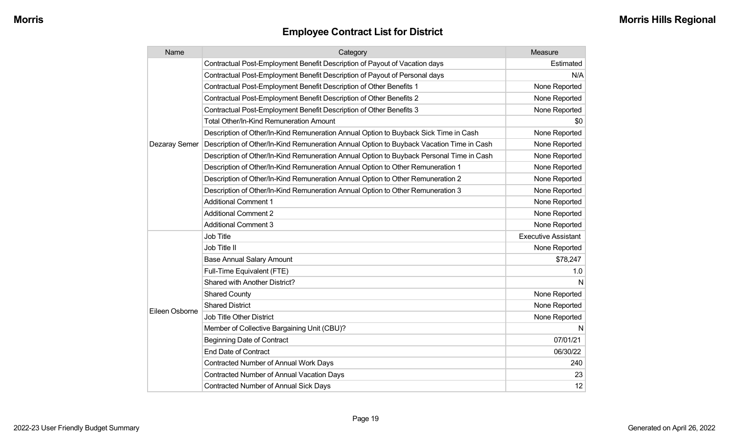| Name           | Category                                                                                 | Measure                    |
|----------------|------------------------------------------------------------------------------------------|----------------------------|
|                | Contractual Post-Employment Benefit Description of Payout of Vacation days               | Estimated                  |
|                | Contractual Post-Employment Benefit Description of Payout of Personal days               | N/A                        |
|                | Contractual Post-Employment Benefit Description of Other Benefits 1                      | None Reported              |
|                | Contractual Post-Employment Benefit Description of Other Benefits 2                      | None Reported              |
|                | Contractual Post-Employment Benefit Description of Other Benefits 3                      | None Reported              |
|                | <b>Total Other/In-Kind Remuneration Amount</b>                                           | \$0                        |
|                | Description of Other/In-Kind Remuneration Annual Option to Buyback Sick Time in Cash     | None Reported              |
| Dezaray Semer  | Description of Other/In-Kind Remuneration Annual Option to Buyback Vacation Time in Cash | None Reported              |
|                | Description of Other/In-Kind Remuneration Annual Option to Buyback Personal Time in Cash | None Reported              |
|                | Description of Other/In-Kind Remuneration Annual Option to Other Remuneration 1          | None Reported              |
|                | Description of Other/In-Kind Remuneration Annual Option to Other Remuneration 2          | None Reported              |
|                | Description of Other/In-Kind Remuneration Annual Option to Other Remuneration 3          | None Reported              |
|                | <b>Additional Comment 1</b>                                                              | None Reported              |
|                | <b>Additional Comment 2</b>                                                              | None Reported              |
|                | <b>Additional Comment 3</b>                                                              | None Reported              |
|                | Job Title                                                                                | <b>Executive Assistant</b> |
|                | Job Title II                                                                             | None Reported              |
|                | <b>Base Annual Salary Amount</b>                                                         | \$78,247                   |
|                | Full-Time Equivalent (FTE)                                                               | 1.0                        |
|                | Shared with Another District?                                                            | N                          |
|                | <b>Shared County</b>                                                                     | None Reported              |
|                | <b>Shared District</b>                                                                   | None Reported              |
| Eileen Osborne | Job Title Other District                                                                 | None Reported              |
|                | Member of Collective Bargaining Unit (CBU)?                                              | N                          |
|                | <b>Beginning Date of Contract</b>                                                        | 07/01/21                   |
|                | <b>End Date of Contract</b>                                                              | 06/30/22                   |
|                | <b>Contracted Number of Annual Work Days</b>                                             | 240                        |
|                | <b>Contracted Number of Annual Vacation Days</b>                                         | 23                         |
|                | Contracted Number of Annual Sick Days                                                    | 12                         |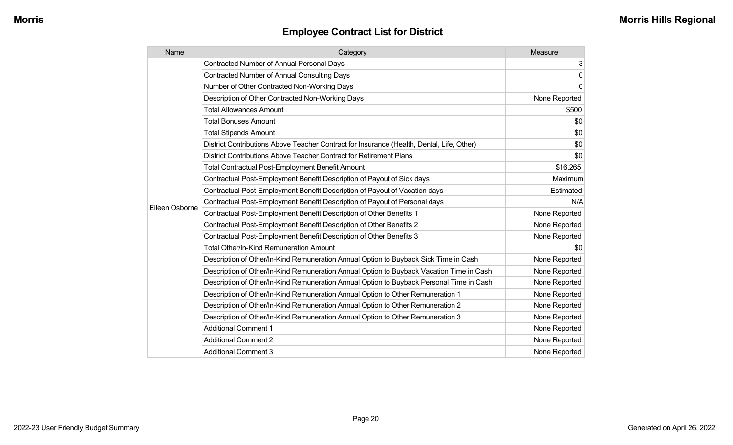| Name           | Category                                                                                  | Measure       |
|----------------|-------------------------------------------------------------------------------------------|---------------|
|                | <b>Contracted Number of Annual Personal Days</b>                                          | 3             |
|                | <b>Contracted Number of Annual Consulting Days</b>                                        | 0             |
|                | Number of Other Contracted Non-Working Days                                               | $\mathbf 0$   |
|                | Description of Other Contracted Non-Working Days                                          | None Reported |
|                | <b>Total Allowances Amount</b>                                                            | \$500         |
|                | <b>Total Bonuses Amount</b>                                                               | \$0           |
|                | <b>Total Stipends Amount</b>                                                              | \$0           |
|                | District Contributions Above Teacher Contract for Insurance (Health, Dental, Life, Other) | \$0           |
|                | District Contributions Above Teacher Contract for Retirement Plans                        | \$0           |
|                | <b>Total Contractual Post-Employment Benefit Amount</b>                                   | \$16,265      |
|                | Contractual Post-Employment Benefit Description of Payout of Sick days                    | Maximum       |
|                | Contractual Post-Employment Benefit Description of Payout of Vacation days                | Estimated     |
|                | Contractual Post-Employment Benefit Description of Payout of Personal days                | N/A           |
| Eileen Osborne | Contractual Post-Employment Benefit Description of Other Benefits 1                       | None Reported |
|                | Contractual Post-Employment Benefit Description of Other Benefits 2                       | None Reported |
|                | Contractual Post-Employment Benefit Description of Other Benefits 3                       | None Reported |
|                | <b>Total Other/In-Kind Remuneration Amount</b>                                            | \$0           |
|                | Description of Other/In-Kind Remuneration Annual Option to Buyback Sick Time in Cash      | None Reported |
|                | Description of Other/In-Kind Remuneration Annual Option to Buyback Vacation Time in Cash  | None Reported |
|                | Description of Other/In-Kind Remuneration Annual Option to Buyback Personal Time in Cash  | None Reported |
|                | Description of Other/In-Kind Remuneration Annual Option to Other Remuneration 1           | None Reported |
|                | Description of Other/In-Kind Remuneration Annual Option to Other Remuneration 2           | None Reported |
|                | Description of Other/In-Kind Remuneration Annual Option to Other Remuneration 3           | None Reported |
|                | <b>Additional Comment 1</b>                                                               | None Reported |
|                | <b>Additional Comment 2</b>                                                               | None Reported |
|                | <b>Additional Comment 3</b>                                                               | None Reported |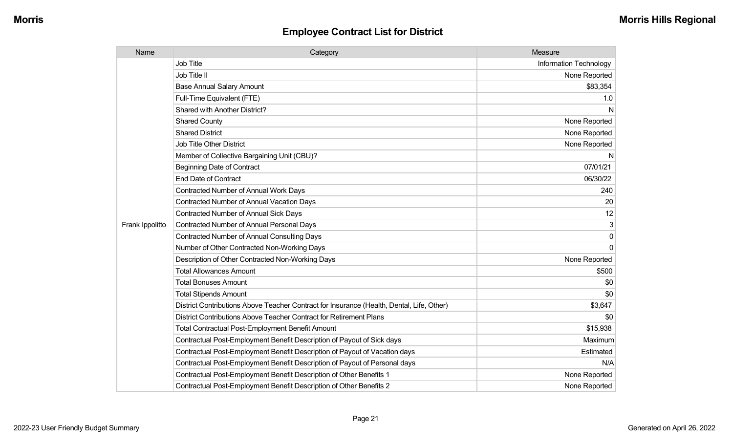| Name            | Category                                                                                  | Measure                |
|-----------------|-------------------------------------------------------------------------------------------|------------------------|
|                 | <b>Job Title</b>                                                                          | Information Technology |
|                 | Job Title II                                                                              | None Reported          |
|                 | <b>Base Annual Salary Amount</b>                                                          | \$83,354               |
|                 | Full-Time Equivalent (FTE)                                                                | 1.0                    |
|                 | Shared with Another District?                                                             | N                      |
|                 | <b>Shared County</b>                                                                      | None Reported          |
|                 | <b>Shared District</b>                                                                    | None Reported          |
|                 | <b>Job Title Other District</b>                                                           | None Reported          |
|                 | Member of Collective Bargaining Unit (CBU)?                                               | N                      |
|                 | <b>Beginning Date of Contract</b>                                                         | 07/01/21               |
|                 | <b>End Date of Contract</b>                                                               | 06/30/22               |
|                 | <b>Contracted Number of Annual Work Days</b>                                              | 240                    |
|                 | Contracted Number of Annual Vacation Days                                                 | 20                     |
|                 | Contracted Number of Annual Sick Days                                                     | 12                     |
| Frank Ippolitto | Contracted Number of Annual Personal Days                                                 | 3                      |
|                 | <b>Contracted Number of Annual Consulting Days</b>                                        | $\mathbf 0$            |
|                 | Number of Other Contracted Non-Working Days                                               | $\Omega$               |
|                 | Description of Other Contracted Non-Working Days                                          | None Reported          |
|                 | <b>Total Allowances Amount</b>                                                            | \$500                  |
|                 | <b>Total Bonuses Amount</b>                                                               | \$0                    |
|                 | <b>Total Stipends Amount</b>                                                              | \$0                    |
|                 | District Contributions Above Teacher Contract for Insurance (Health, Dental, Life, Other) | \$3,647                |
|                 | District Contributions Above Teacher Contract for Retirement Plans                        | \$0                    |
|                 | <b>Total Contractual Post-Employment Benefit Amount</b>                                   | \$15,938               |
|                 | Contractual Post-Employment Benefit Description of Payout of Sick days                    | Maximum                |
|                 | Contractual Post-Employment Benefit Description of Payout of Vacation days                | Estimated              |
|                 | Contractual Post-Employment Benefit Description of Payout of Personal days                | N/A                    |
|                 | Contractual Post-Employment Benefit Description of Other Benefits 1                       | None Reported          |
|                 | Contractual Post-Employment Benefit Description of Other Benefits 2                       | None Reported          |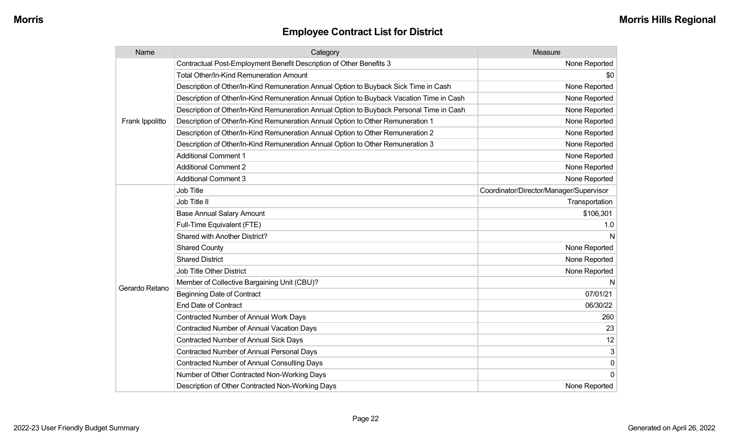| Name            | Category                                                                                 | Measure                                 |
|-----------------|------------------------------------------------------------------------------------------|-----------------------------------------|
|                 | Contractual Post-Employment Benefit Description of Other Benefits 3                      | None Reported                           |
|                 | <b>Total Other/In-Kind Remuneration Amount</b>                                           | \$0                                     |
|                 | Description of Other/In-Kind Remuneration Annual Option to Buyback Sick Time in Cash     | None Reported                           |
|                 | Description of Other/In-Kind Remuneration Annual Option to Buyback Vacation Time in Cash | None Reported                           |
|                 | Description of Other/In-Kind Remuneration Annual Option to Buyback Personal Time in Cash | None Reported                           |
| Frank Ippolitto | Description of Other/In-Kind Remuneration Annual Option to Other Remuneration 1          | None Reported                           |
|                 | Description of Other/In-Kind Remuneration Annual Option to Other Remuneration 2          | None Reported                           |
|                 | Description of Other/In-Kind Remuneration Annual Option to Other Remuneration 3          | None Reported                           |
|                 | <b>Additional Comment 1</b>                                                              | None Reported                           |
|                 | <b>Additional Comment 2</b>                                                              | None Reported                           |
|                 | <b>Additional Comment 3</b>                                                              | None Reported                           |
|                 | Job Title                                                                                | Coordinator/Director/Manager/Supervisor |
|                 | Job Title II                                                                             | Transportation                          |
|                 | <b>Base Annual Salary Amount</b>                                                         | \$106,301                               |
|                 | Full-Time Equivalent (FTE)                                                               | 1.0                                     |
|                 | Shared with Another District?                                                            | N                                       |
|                 | <b>Shared County</b>                                                                     | None Reported                           |
|                 | <b>Shared District</b>                                                                   | None Reported                           |
|                 | <b>Job Title Other District</b>                                                          | None Reported                           |
| Gerardo Retano  | Member of Collective Bargaining Unit (CBU)?                                              | N                                       |
|                 | <b>Beginning Date of Contract</b>                                                        | 07/01/21                                |
|                 | <b>End Date of Contract</b>                                                              | 06/30/22                                |
|                 | Contracted Number of Annual Work Days                                                    | 260                                     |
|                 | <b>Contracted Number of Annual Vacation Days</b>                                         | 23                                      |
|                 | <b>Contracted Number of Annual Sick Days</b>                                             | 12                                      |
|                 | <b>Contracted Number of Annual Personal Days</b>                                         | 3                                       |
|                 | <b>Contracted Number of Annual Consulting Days</b>                                       | $\pmb{0}$                               |
|                 | Number of Other Contracted Non-Working Days                                              | $\mathbf 0$                             |
|                 | Description of Other Contracted Non-Working Days                                         | None Reported                           |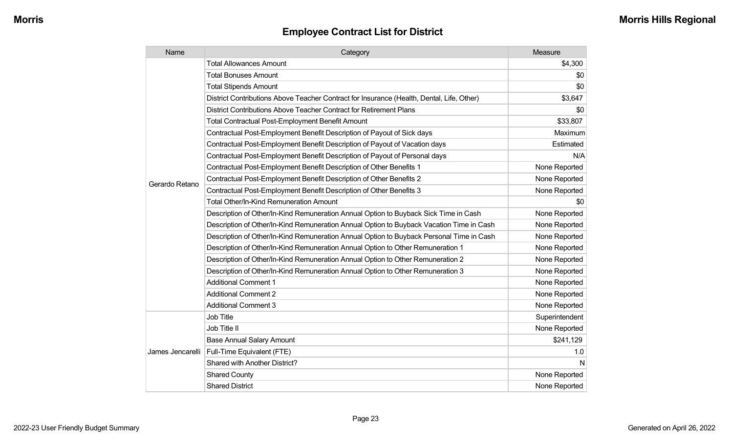| Name             | Category                                                                                  | Measure        |
|------------------|-------------------------------------------------------------------------------------------|----------------|
|                  | <b>Total Allowances Amount</b>                                                            | \$4,300        |
|                  | <b>Total Bonuses Amount</b>                                                               | \$0            |
|                  | <b>Total Stipends Amount</b>                                                              | \$0            |
|                  | District Contributions Above Teacher Contract for Insurance (Health, Dental, Life, Other) | \$3,647        |
|                  | District Contributions Above Teacher Contract for Retirement Plans                        | \$0            |
|                  | <b>Total Contractual Post-Employment Benefit Amount</b>                                   | \$33,807       |
|                  | Contractual Post-Employment Benefit Description of Payout of Sick days                    | Maximum        |
|                  | Contractual Post-Employment Benefit Description of Payout of Vacation days                | Estimated      |
|                  | Contractual Post-Employment Benefit Description of Payout of Personal days                | N/A            |
|                  | Contractual Post-Employment Benefit Description of Other Benefits 1                       | None Reported  |
| Gerardo Retano   | Contractual Post-Employment Benefit Description of Other Benefits 2                       | None Reported  |
|                  | Contractual Post-Employment Benefit Description of Other Benefits 3                       | None Reported  |
|                  | <b>Total Other/In-Kind Remuneration Amount</b>                                            | \$0            |
|                  | Description of Other/In-Kind Remuneration Annual Option to Buyback Sick Time in Cash      | None Reported  |
|                  | Description of Other/In-Kind Remuneration Annual Option to Buyback Vacation Time in Cash  | None Reported  |
|                  | Description of Other/In-Kind Remuneration Annual Option to Buyback Personal Time in Cash  | None Reported  |
|                  | Description of Other/In-Kind Remuneration Annual Option to Other Remuneration 1           | None Reported  |
|                  | Description of Other/In-Kind Remuneration Annual Option to Other Remuneration 2           | None Reported  |
|                  | Description of Other/In-Kind Remuneration Annual Option to Other Remuneration 3           | None Reported  |
|                  | <b>Additional Comment 1</b>                                                               | None Reported  |
|                  | <b>Additional Comment 2</b>                                                               | None Reported  |
|                  | <b>Additional Comment 3</b>                                                               | None Reported  |
|                  | Job Title                                                                                 | Superintendent |
| James Jencarelli | Job Title II                                                                              | None Reported  |
|                  | <b>Base Annual Salary Amount</b>                                                          | \$241,129      |
|                  | Full-Time Equivalent (FTE)                                                                | 1.0            |
|                  | Shared with Another District?                                                             | N              |
|                  | <b>Shared County</b>                                                                      | None Reported  |
|                  | <b>Shared District</b>                                                                    | None Reported  |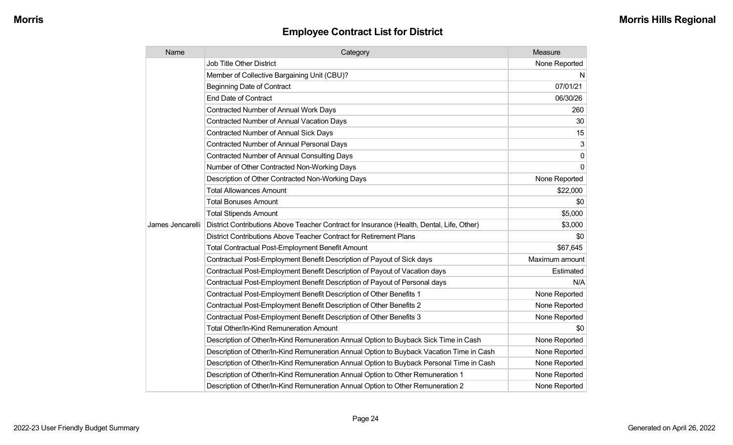| Name             | Category                                                                                  | Measure        |
|------------------|-------------------------------------------------------------------------------------------|----------------|
|                  | <b>Job Title Other District</b>                                                           | None Reported  |
|                  | Member of Collective Bargaining Unit (CBU)?                                               | N              |
|                  | <b>Beginning Date of Contract</b>                                                         | 07/01/21       |
|                  | <b>End Date of Contract</b>                                                               | 06/30/26       |
|                  | Contracted Number of Annual Work Days                                                     | 260            |
|                  | <b>Contracted Number of Annual Vacation Days</b>                                          | 30             |
|                  | <b>Contracted Number of Annual Sick Days</b>                                              | 15             |
|                  | <b>Contracted Number of Annual Personal Days</b>                                          | 3              |
|                  | <b>Contracted Number of Annual Consulting Days</b>                                        | $\mathbf{0}$   |
|                  | Number of Other Contracted Non-Working Days                                               | $\Omega$       |
|                  | Description of Other Contracted Non-Working Days                                          | None Reported  |
|                  | <b>Total Allowances Amount</b>                                                            | \$22,000       |
|                  | <b>Total Bonuses Amount</b>                                                               | \$0            |
|                  | <b>Total Stipends Amount</b>                                                              | \$5,000        |
| James Jencarelli | District Contributions Above Teacher Contract for Insurance (Health, Dental, Life, Other) | \$3,000        |
|                  | District Contributions Above Teacher Contract for Retirement Plans                        | \$0            |
|                  | <b>Total Contractual Post-Employment Benefit Amount</b>                                   | \$67,645       |
|                  | Contractual Post-Employment Benefit Description of Payout of Sick days                    | Maximum amount |
|                  | Contractual Post-Employment Benefit Description of Payout of Vacation days                | Estimated      |
|                  | Contractual Post-Employment Benefit Description of Payout of Personal days                | N/A            |
|                  | Contractual Post-Employment Benefit Description of Other Benefits 1                       | None Reported  |
|                  | Contractual Post-Employment Benefit Description of Other Benefits 2                       | None Reported  |
|                  | Contractual Post-Employment Benefit Description of Other Benefits 3                       | None Reported  |
|                  | Total Other/In-Kind Remuneration Amount                                                   | \$0            |
|                  | Description of Other/In-Kind Remuneration Annual Option to Buyback Sick Time in Cash      | None Reported  |
|                  | Description of Other/In-Kind Remuneration Annual Option to Buyback Vacation Time in Cash  | None Reported  |
|                  | Description of Other/In-Kind Remuneration Annual Option to Buyback Personal Time in Cash  | None Reported  |
|                  | Description of Other/In-Kind Remuneration Annual Option to Other Remuneration 1           | None Reported  |
|                  | Description of Other/In-Kind Remuneration Annual Option to Other Remuneration 2           | None Reported  |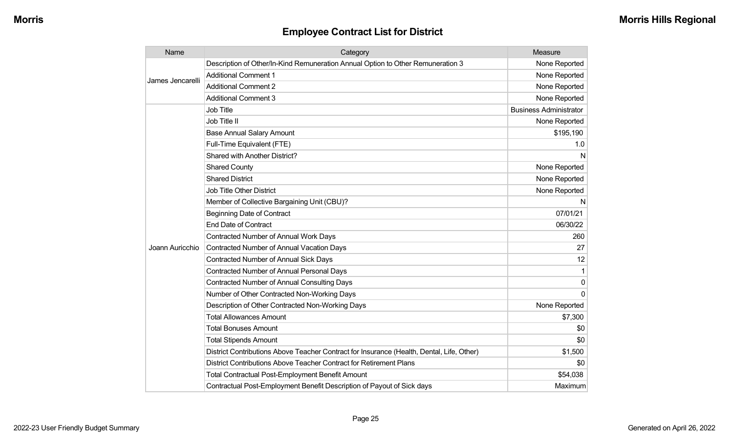| Name             | Category                                                                                  | Measure                       |
|------------------|-------------------------------------------------------------------------------------------|-------------------------------|
| James Jencarelli | Description of Other/In-Kind Remuneration Annual Option to Other Remuneration 3           | None Reported                 |
|                  | <b>Additional Comment 1</b>                                                               | None Reported                 |
|                  | <b>Additional Comment 2</b>                                                               | None Reported                 |
|                  | <b>Additional Comment 3</b>                                                               | None Reported                 |
|                  | Job Title                                                                                 | <b>Business Administrator</b> |
|                  | Job Title II                                                                              | None Reported                 |
|                  | <b>Base Annual Salary Amount</b>                                                          | \$195,190                     |
|                  | Full-Time Equivalent (FTE)                                                                | 1.0                           |
|                  | Shared with Another District?                                                             | N                             |
|                  | <b>Shared County</b>                                                                      | None Reported                 |
|                  | <b>Shared District</b>                                                                    | None Reported                 |
|                  | <b>Job Title Other District</b>                                                           | None Reported                 |
|                  | Member of Collective Bargaining Unit (CBU)?                                               | N                             |
|                  | <b>Beginning Date of Contract</b>                                                         | 07/01/21                      |
|                  | <b>End Date of Contract</b>                                                               | 06/30/22                      |
|                  | <b>Contracted Number of Annual Work Days</b>                                              | 260                           |
| Joann Auricchio  | <b>Contracted Number of Annual Vacation Days</b>                                          | 27                            |
|                  | Contracted Number of Annual Sick Days                                                     | 12                            |
|                  | <b>Contracted Number of Annual Personal Days</b>                                          | 1                             |
|                  | <b>Contracted Number of Annual Consulting Days</b>                                        | 0                             |
|                  | Number of Other Contracted Non-Working Days                                               | $\Omega$                      |
|                  | Description of Other Contracted Non-Working Days                                          | None Reported                 |
|                  | <b>Total Allowances Amount</b>                                                            | \$7,300                       |
|                  | <b>Total Bonuses Amount</b>                                                               | \$0                           |
|                  | <b>Total Stipends Amount</b>                                                              | \$0                           |
|                  | District Contributions Above Teacher Contract for Insurance (Health, Dental, Life, Other) | \$1,500                       |
|                  | District Contributions Above Teacher Contract for Retirement Plans                        | \$0                           |
|                  | Total Contractual Post-Employment Benefit Amount                                          | \$54,038                      |
|                  | Contractual Post-Employment Benefit Description of Payout of Sick days                    | Maximum                       |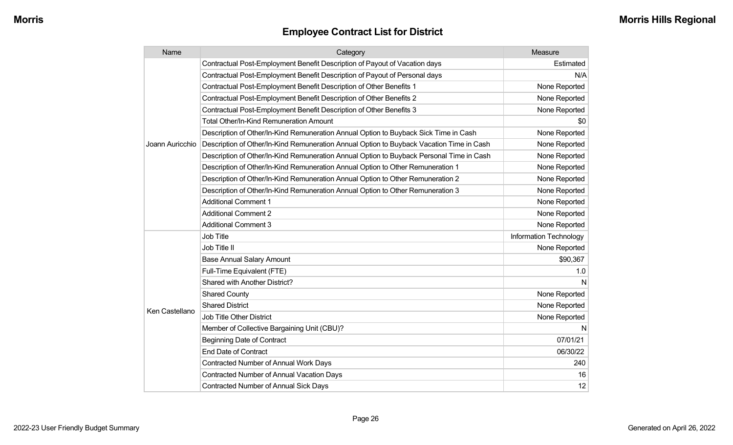| Name            | Category                                                                                 | Measure                |
|-----------------|------------------------------------------------------------------------------------------|------------------------|
|                 | Contractual Post-Employment Benefit Description of Payout of Vacation days               | Estimated              |
|                 | Contractual Post-Employment Benefit Description of Payout of Personal days               | N/A                    |
|                 | Contractual Post-Employment Benefit Description of Other Benefits 1                      | None Reported          |
|                 | Contractual Post-Employment Benefit Description of Other Benefits 2                      | None Reported          |
|                 | Contractual Post-Employment Benefit Description of Other Benefits 3                      | None Reported          |
|                 | Total Other/In-Kind Remuneration Amount                                                  | \$0                    |
|                 | Description of Other/In-Kind Remuneration Annual Option to Buyback Sick Time in Cash     | None Reported          |
| Joann Auricchio | Description of Other/In-Kind Remuneration Annual Option to Buyback Vacation Time in Cash | None Reported          |
|                 | Description of Other/In-Kind Remuneration Annual Option to Buyback Personal Time in Cash | None Reported          |
|                 | Description of Other/In-Kind Remuneration Annual Option to Other Remuneration 1          | None Reported          |
|                 | Description of Other/In-Kind Remuneration Annual Option to Other Remuneration 2          | None Reported          |
|                 | Description of Other/In-Kind Remuneration Annual Option to Other Remuneration 3          | None Reported          |
|                 | <b>Additional Comment 1</b>                                                              | None Reported          |
|                 | <b>Additional Comment 2</b>                                                              | None Reported          |
|                 | <b>Additional Comment 3</b>                                                              | None Reported          |
|                 | Job Title                                                                                | Information Technology |
|                 | Job Title II                                                                             | None Reported          |
|                 | <b>Base Annual Salary Amount</b>                                                         | \$90,367               |
|                 | Full-Time Equivalent (FTE)                                                               | 1.0                    |
|                 | <b>Shared with Another District?</b>                                                     | N                      |
|                 | <b>Shared County</b>                                                                     | None Reported          |
|                 | <b>Shared District</b>                                                                   | None Reported          |
| Ken Castellano  | <b>Job Title Other District</b>                                                          | None Reported          |
|                 | Member of Collective Bargaining Unit (CBU)?                                              | N                      |
|                 | <b>Beginning Date of Contract</b>                                                        | 07/01/21               |
|                 | <b>End Date of Contract</b>                                                              | 06/30/22               |
|                 | Contracted Number of Annual Work Days                                                    | 240                    |
|                 | <b>Contracted Number of Annual Vacation Days</b>                                         | 16                     |
|                 | Contracted Number of Annual Sick Days                                                    | 12                     |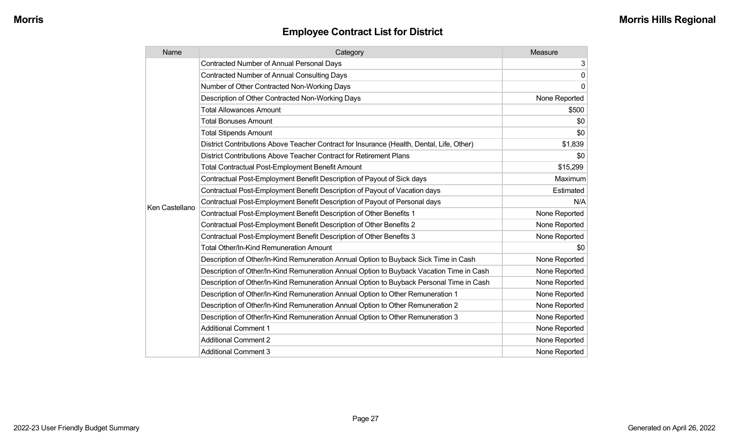| Name           | Category                                                                                  | Measure       |
|----------------|-------------------------------------------------------------------------------------------|---------------|
|                | <b>Contracted Number of Annual Personal Days</b>                                          | 3             |
|                | <b>Contracted Number of Annual Consulting Days</b>                                        | 0             |
|                | Number of Other Contracted Non-Working Days                                               | $\mathbf{0}$  |
|                | Description of Other Contracted Non-Working Days                                          | None Reported |
|                | <b>Total Allowances Amount</b>                                                            | \$500         |
|                | <b>Total Bonuses Amount</b>                                                               | \$0           |
|                | <b>Total Stipends Amount</b>                                                              | \$0           |
|                | District Contributions Above Teacher Contract for Insurance (Health, Dental, Life, Other) | \$1,839       |
|                | District Contributions Above Teacher Contract for Retirement Plans                        | \$0           |
|                | Total Contractual Post-Employment Benefit Amount                                          | \$15,299      |
|                | Contractual Post-Employment Benefit Description of Payout of Sick days                    | Maximum       |
|                | Contractual Post-Employment Benefit Description of Payout of Vacation days                | Estimated     |
| Ken Castellano | Contractual Post-Employment Benefit Description of Payout of Personal days                | N/A           |
|                | Contractual Post-Employment Benefit Description of Other Benefits 1                       | None Reported |
|                | Contractual Post-Employment Benefit Description of Other Benefits 2                       | None Reported |
|                | Contractual Post-Employment Benefit Description of Other Benefits 3                       | None Reported |
|                | <b>Total Other/In-Kind Remuneration Amount</b>                                            | \$0           |
|                | Description of Other/In-Kind Remuneration Annual Option to Buyback Sick Time in Cash      | None Reported |
|                | Description of Other/In-Kind Remuneration Annual Option to Buyback Vacation Time in Cash  | None Reported |
|                | Description of Other/In-Kind Remuneration Annual Option to Buyback Personal Time in Cash  | None Reported |
|                | Description of Other/In-Kind Remuneration Annual Option to Other Remuneration 1           | None Reported |
|                | Description of Other/In-Kind Remuneration Annual Option to Other Remuneration 2           | None Reported |
|                | Description of Other/In-Kind Remuneration Annual Option to Other Remuneration 3           | None Reported |
|                | <b>Additional Comment 1</b>                                                               | None Reported |
|                | <b>Additional Comment 2</b>                                                               | None Reported |
|                | <b>Additional Comment 3</b>                                                               | None Reported |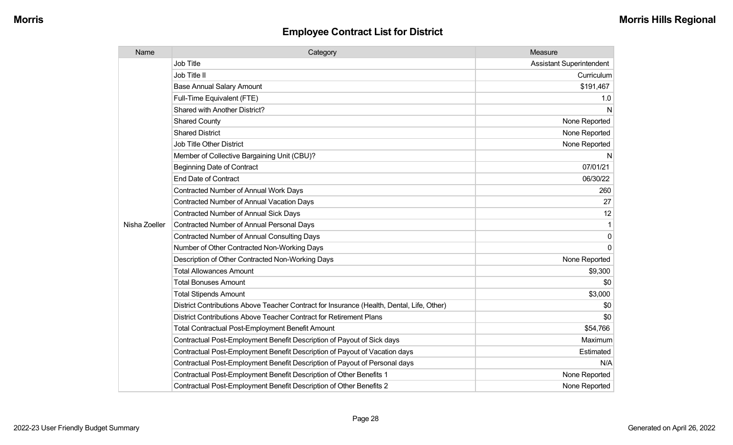| Name          | Category                                                                                  | Measure                         |
|---------------|-------------------------------------------------------------------------------------------|---------------------------------|
|               | Job Title                                                                                 | <b>Assistant Superintendent</b> |
|               | Job Title II                                                                              | Curriculum                      |
|               | <b>Base Annual Salary Amount</b>                                                          | \$191,467                       |
|               | Full-Time Equivalent (FTE)                                                                | 1.0                             |
|               | Shared with Another District?                                                             | N                               |
|               | <b>Shared County</b>                                                                      | None Reported                   |
|               | <b>Shared District</b>                                                                    | None Reported                   |
|               | <b>Job Title Other District</b>                                                           | None Reported                   |
|               | Member of Collective Bargaining Unit (CBU)?                                               | N                               |
|               | <b>Beginning Date of Contract</b>                                                         | 07/01/21                        |
|               | <b>End Date of Contract</b>                                                               | 06/30/22                        |
|               | <b>Contracted Number of Annual Work Days</b>                                              | 260                             |
|               | Contracted Number of Annual Vacation Days                                                 | 27                              |
|               | <b>Contracted Number of Annual Sick Days</b>                                              | 12                              |
| Nisha Zoeller | <b>Contracted Number of Annual Personal Days</b>                                          |                                 |
|               | <b>Contracted Number of Annual Consulting Days</b>                                        | $\Omega$                        |
|               | Number of Other Contracted Non-Working Days                                               | $\Omega$                        |
|               | Description of Other Contracted Non-Working Days                                          | None Reported                   |
|               | <b>Total Allowances Amount</b>                                                            | \$9,300                         |
|               | <b>Total Bonuses Amount</b>                                                               | \$0                             |
|               | <b>Total Stipends Amount</b>                                                              | \$3,000                         |
|               | District Contributions Above Teacher Contract for Insurance (Health, Dental, Life, Other) | \$0                             |
|               | District Contributions Above Teacher Contract for Retirement Plans                        | \$0                             |
|               | Total Contractual Post-Employment Benefit Amount                                          | \$54,766                        |
|               | Contractual Post-Employment Benefit Description of Payout of Sick days                    | Maximum                         |
|               | Contractual Post-Employment Benefit Description of Payout of Vacation days                | Estimated                       |
|               | Contractual Post-Employment Benefit Description of Payout of Personal days                | N/A                             |
|               | Contractual Post-Employment Benefit Description of Other Benefits 1                       | None Reported                   |
|               | Contractual Post-Employment Benefit Description of Other Benefits 2                       | None Reported                   |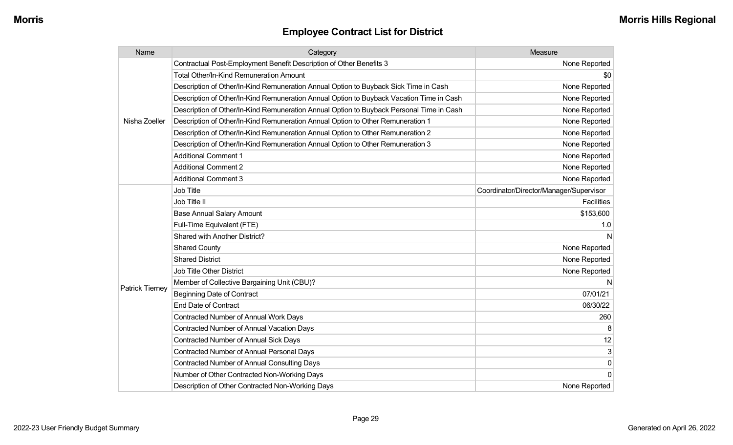| Name                   | Category                                                                                 | Measure                                 |
|------------------------|------------------------------------------------------------------------------------------|-----------------------------------------|
|                        | Contractual Post-Employment Benefit Description of Other Benefits 3                      | None Reported                           |
|                        | Total Other/In-Kind Remuneration Amount                                                  | \$0                                     |
|                        | Description of Other/In-Kind Remuneration Annual Option to Buyback Sick Time in Cash     | None Reported                           |
|                        | Description of Other/In-Kind Remuneration Annual Option to Buyback Vacation Time in Cash | None Reported                           |
|                        | Description of Other/In-Kind Remuneration Annual Option to Buyback Personal Time in Cash | None Reported                           |
| Nisha Zoeller          | Description of Other/In-Kind Remuneration Annual Option to Other Remuneration 1          | None Reported                           |
|                        | Description of Other/In-Kind Remuneration Annual Option to Other Remuneration 2          | None Reported                           |
|                        | Description of Other/In-Kind Remuneration Annual Option to Other Remuneration 3          | None Reported                           |
|                        | <b>Additional Comment 1</b>                                                              | None Reported                           |
|                        | <b>Additional Comment 2</b>                                                              | None Reported                           |
|                        | <b>Additional Comment 3</b>                                                              | None Reported                           |
|                        | Job Title                                                                                | Coordinator/Director/Manager/Supervisor |
|                        | Job Title II                                                                             | <b>Facilities</b>                       |
|                        | <b>Base Annual Salary Amount</b>                                                         | \$153,600                               |
|                        | Full-Time Equivalent (FTE)                                                               | 1.0                                     |
|                        | Shared with Another District?                                                            | N                                       |
|                        | <b>Shared County</b>                                                                     | None Reported                           |
|                        | <b>Shared District</b>                                                                   | None Reported                           |
|                        | <b>Job Title Other District</b>                                                          | None Reported                           |
|                        | Member of Collective Bargaining Unit (CBU)?                                              | N                                       |
| <b>Patrick Tierney</b> | <b>Beginning Date of Contract</b>                                                        | 07/01/21                                |
|                        | End Date of Contract                                                                     | 06/30/22                                |
|                        | Contracted Number of Annual Work Days                                                    | 260                                     |
|                        | <b>Contracted Number of Annual Vacation Days</b>                                         | 8                                       |
|                        | Contracted Number of Annual Sick Days                                                    | 12                                      |
|                        | Contracted Number of Annual Personal Days                                                | 3                                       |
|                        | Contracted Number of Annual Consulting Days                                              | 0                                       |
|                        | Number of Other Contracted Non-Working Days                                              | $\mathbf 0$                             |
|                        | Description of Other Contracted Non-Working Days                                         | None Reported                           |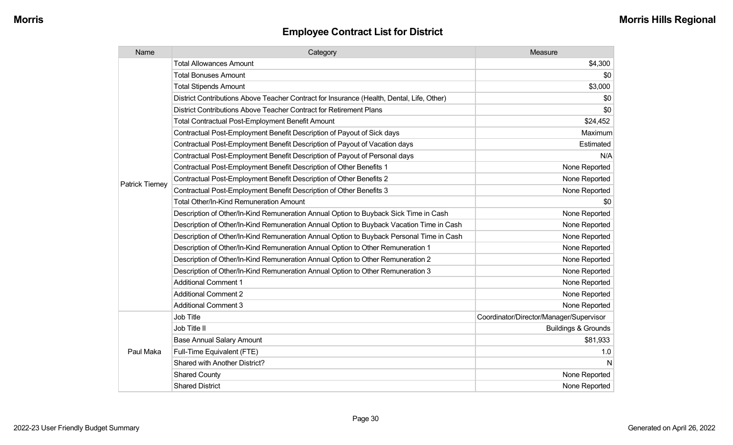| Name                   | Category                                                                                  | Measure                                 |
|------------------------|-------------------------------------------------------------------------------------------|-----------------------------------------|
|                        | <b>Total Allowances Amount</b>                                                            | \$4,300                                 |
|                        | <b>Total Bonuses Amount</b>                                                               | \$0                                     |
|                        | <b>Total Stipends Amount</b>                                                              | \$3,000                                 |
|                        | District Contributions Above Teacher Contract for Insurance (Health, Dental, Life, Other) | \$0                                     |
|                        | District Contributions Above Teacher Contract for Retirement Plans                        | \$0                                     |
|                        | <b>Total Contractual Post-Employment Benefit Amount</b>                                   | \$24,452                                |
|                        | Contractual Post-Employment Benefit Description of Payout of Sick days                    | Maximum                                 |
|                        | Contractual Post-Employment Benefit Description of Payout of Vacation days                | Estimated                               |
|                        | Contractual Post-Employment Benefit Description of Payout of Personal days                | N/A                                     |
|                        | Contractual Post-Employment Benefit Description of Other Benefits 1                       | None Reported                           |
| <b>Patrick Tierney</b> | Contractual Post-Employment Benefit Description of Other Benefits 2                       | None Reported                           |
|                        | Contractual Post-Employment Benefit Description of Other Benefits 3                       | None Reported                           |
|                        | Total Other/In-Kind Remuneration Amount                                                   | \$0                                     |
|                        | Description of Other/In-Kind Remuneration Annual Option to Buyback Sick Time in Cash      | None Reported                           |
|                        | Description of Other/In-Kind Remuneration Annual Option to Buyback Vacation Time in Cash  | None Reported                           |
|                        | Description of Other/In-Kind Remuneration Annual Option to Buyback Personal Time in Cash  | None Reported                           |
|                        | Description of Other/In-Kind Remuneration Annual Option to Other Remuneration 1           | None Reported                           |
|                        | Description of Other/In-Kind Remuneration Annual Option to Other Remuneration 2           | None Reported                           |
|                        | Description of Other/In-Kind Remuneration Annual Option to Other Remuneration 3           | None Reported                           |
|                        | <b>Additional Comment 1</b>                                                               | None Reported                           |
|                        | <b>Additional Comment 2</b>                                                               | None Reported                           |
|                        | <b>Additional Comment 3</b>                                                               | None Reported                           |
|                        | Job Title                                                                                 | Coordinator/Director/Manager/Supervisor |
| Paul Maka              | Job Title II                                                                              | <b>Buildings &amp; Grounds</b>          |
|                        | <b>Base Annual Salary Amount</b>                                                          | \$81,933                                |
|                        | Full-Time Equivalent (FTE)                                                                | 1.0                                     |
|                        | Shared with Another District?                                                             | N                                       |
|                        | <b>Shared County</b>                                                                      | None Reported                           |
|                        | <b>Shared District</b>                                                                    | None Reported                           |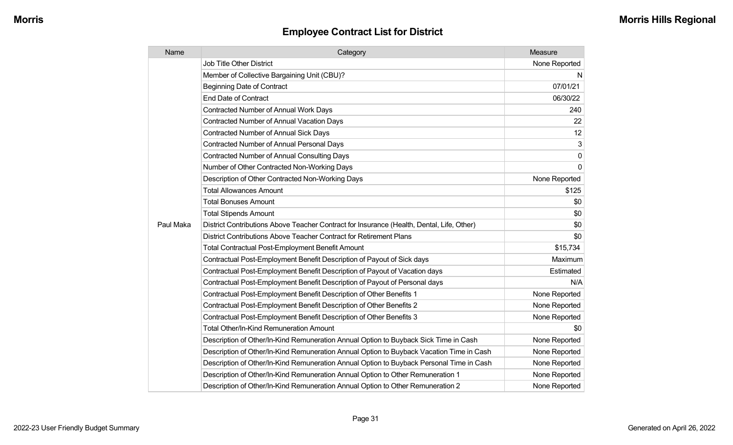| Name      | Category                                                                                  | Measure       |
|-----------|-------------------------------------------------------------------------------------------|---------------|
|           | <b>Job Title Other District</b>                                                           | None Reported |
|           | Member of Collective Bargaining Unit (CBU)?                                               | N             |
|           | <b>Beginning Date of Contract</b>                                                         | 07/01/21      |
|           | <b>End Date of Contract</b>                                                               | 06/30/22      |
|           | Contracted Number of Annual Work Days                                                     | 240           |
|           | <b>Contracted Number of Annual Vacation Days</b>                                          | 22            |
|           | <b>Contracted Number of Annual Sick Days</b>                                              | 12            |
|           | Contracted Number of Annual Personal Days                                                 | $\mathbf{3}$  |
|           | <b>Contracted Number of Annual Consulting Days</b>                                        | 0             |
|           | Number of Other Contracted Non-Working Days                                               | 0             |
|           | Description of Other Contracted Non-Working Days                                          | None Reported |
|           | <b>Total Allowances Amount</b>                                                            | \$125         |
|           | <b>Total Bonuses Amount</b>                                                               | \$0           |
|           | <b>Total Stipends Amount</b>                                                              | \$0           |
| Paul Maka | District Contributions Above Teacher Contract for Insurance (Health, Dental, Life, Other) | \$0           |
|           | District Contributions Above Teacher Contract for Retirement Plans                        | \$0           |
|           | <b>Total Contractual Post-Employment Benefit Amount</b>                                   | \$15,734      |
|           | Contractual Post-Employment Benefit Description of Payout of Sick days                    | Maximum       |
|           | Contractual Post-Employment Benefit Description of Payout of Vacation days                | Estimated     |
|           | Contractual Post-Employment Benefit Description of Payout of Personal days                | N/A           |
|           | Contractual Post-Employment Benefit Description of Other Benefits 1                       | None Reported |
|           | Contractual Post-Employment Benefit Description of Other Benefits 2                       | None Reported |
|           | Contractual Post-Employment Benefit Description of Other Benefits 3                       | None Reported |
|           | <b>Total Other/In-Kind Remuneration Amount</b>                                            | \$0           |
|           | Description of Other/In-Kind Remuneration Annual Option to Buyback Sick Time in Cash      | None Reported |
|           | Description of Other/In-Kind Remuneration Annual Option to Buyback Vacation Time in Cash  | None Reported |
|           | Description of Other/In-Kind Remuneration Annual Option to Buyback Personal Time in Cash  | None Reported |
|           | Description of Other/In-Kind Remuneration Annual Option to Other Remuneration 1           | None Reported |
|           | Description of Other/In-Kind Remuneration Annual Option to Other Remuneration 2           | None Reported |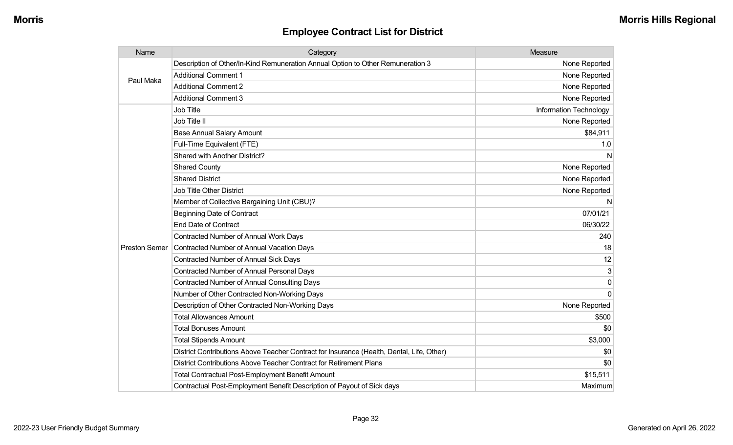| Name                 | Category                                                                                  | Measure                |
|----------------------|-------------------------------------------------------------------------------------------|------------------------|
| Paul Maka            | Description of Other/In-Kind Remuneration Annual Option to Other Remuneration 3           | None Reported          |
|                      | <b>Additional Comment 1</b>                                                               | None Reported          |
|                      | <b>Additional Comment 2</b>                                                               | None Reported          |
|                      | <b>Additional Comment 3</b>                                                               | None Reported          |
|                      | Job Title                                                                                 | Information Technology |
|                      | Job Title II                                                                              | None Reported          |
|                      | <b>Base Annual Salary Amount</b>                                                          | \$84,911               |
|                      | Full-Time Equivalent (FTE)                                                                | 1.0                    |
|                      | Shared with Another District?                                                             | N                      |
|                      | <b>Shared County</b>                                                                      | None Reported          |
|                      | <b>Shared District</b>                                                                    | None Reported          |
|                      | Job Title Other District                                                                  | None Reported          |
|                      | Member of Collective Bargaining Unit (CBU)?                                               | N                      |
|                      | <b>Beginning Date of Contract</b>                                                         | 07/01/21               |
|                      | <b>End Date of Contract</b>                                                               | 06/30/22               |
| <b>Preston Semer</b> | Contracted Number of Annual Work Days                                                     | 240                    |
|                      | <b>Contracted Number of Annual Vacation Days</b>                                          | 18                     |
|                      | Contracted Number of Annual Sick Days                                                     | 12                     |
|                      | <b>Contracted Number of Annual Personal Days</b>                                          | 3                      |
|                      | <b>Contracted Number of Annual Consulting Days</b>                                        | $\Omega$               |
|                      | Number of Other Contracted Non-Working Days                                               | $\Omega$               |
|                      | Description of Other Contracted Non-Working Days                                          | None Reported          |
|                      | <b>Total Allowances Amount</b>                                                            | \$500                  |
|                      | <b>Total Bonuses Amount</b>                                                               | \$0                    |
|                      | <b>Total Stipends Amount</b>                                                              | \$3,000                |
|                      | District Contributions Above Teacher Contract for Insurance (Health, Dental, Life, Other) | \$0                    |
|                      | District Contributions Above Teacher Contract for Retirement Plans                        | \$0                    |
|                      | <b>Total Contractual Post-Employment Benefit Amount</b>                                   | \$15,511               |
|                      | Contractual Post-Employment Benefit Description of Payout of Sick days                    | Maximum                |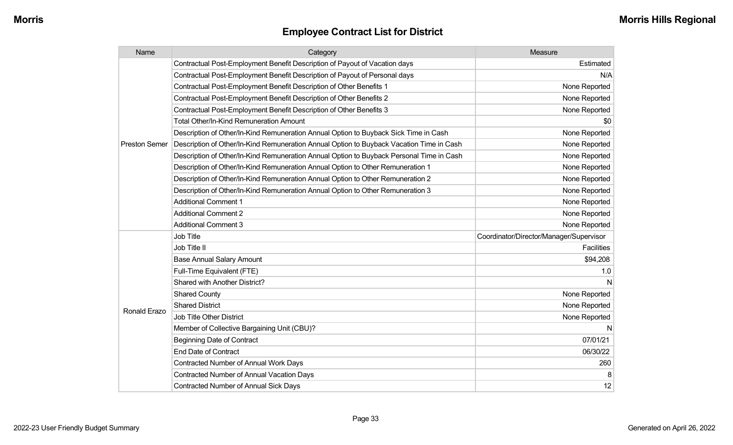| Name                 | Category                                                                                 | Measure                                 |
|----------------------|------------------------------------------------------------------------------------------|-----------------------------------------|
|                      | Contractual Post-Employment Benefit Description of Payout of Vacation days               | Estimated                               |
|                      | Contractual Post-Employment Benefit Description of Payout of Personal days               | N/A                                     |
|                      | Contractual Post-Employment Benefit Description of Other Benefits 1                      | None Reported                           |
|                      | Contractual Post-Employment Benefit Description of Other Benefits 2                      | None Reported                           |
|                      | Contractual Post-Employment Benefit Description of Other Benefits 3                      | None Reported                           |
|                      | <b>Total Other/In-Kind Remuneration Amount</b>                                           | \$0                                     |
|                      | Description of Other/In-Kind Remuneration Annual Option to Buyback Sick Time in Cash     | None Reported                           |
| <b>Preston Semer</b> | Description of Other/In-Kind Remuneration Annual Option to Buyback Vacation Time in Cash | None Reported                           |
|                      | Description of Other/In-Kind Remuneration Annual Option to Buyback Personal Time in Cash | None Reported                           |
|                      | Description of Other/In-Kind Remuneration Annual Option to Other Remuneration 1          | None Reported                           |
|                      | Description of Other/In-Kind Remuneration Annual Option to Other Remuneration 2          | None Reported                           |
|                      | Description of Other/In-Kind Remuneration Annual Option to Other Remuneration 3          | None Reported                           |
|                      | <b>Additional Comment 1</b>                                                              | None Reported                           |
|                      | <b>Additional Comment 2</b>                                                              | None Reported                           |
|                      | <b>Additional Comment 3</b>                                                              | None Reported                           |
|                      | Job Title                                                                                | Coordinator/Director/Manager/Supervisor |
|                      | Job Title II                                                                             | <b>Facilities</b>                       |
|                      | <b>Base Annual Salary Amount</b>                                                         | \$94,208                                |
|                      | Full-Time Equivalent (FTE)                                                               | 1.0                                     |
|                      | Shared with Another District?                                                            | N                                       |
|                      | <b>Shared County</b>                                                                     | None Reported                           |
|                      | <b>Shared District</b>                                                                   | None Reported                           |
| Ronald Erazo         | Job Title Other District                                                                 | None Reported                           |
|                      | Member of Collective Bargaining Unit (CBU)?                                              | N                                       |
|                      | <b>Beginning Date of Contract</b>                                                        | 07/01/21                                |
|                      | <b>End Date of Contract</b>                                                              | 06/30/22                                |
|                      | Contracted Number of Annual Work Days                                                    | 260                                     |
|                      | Contracted Number of Annual Vacation Days                                                |                                         |
|                      | <b>Contracted Number of Annual Sick Days</b>                                             | 12                                      |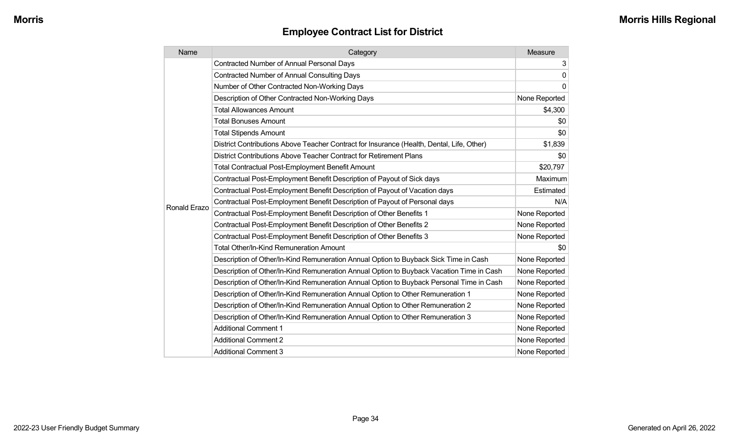| Name         | Category                                                                                  | Measure       |
|--------------|-------------------------------------------------------------------------------------------|---------------|
|              | <b>Contracted Number of Annual Personal Days</b>                                          | 3             |
|              | <b>Contracted Number of Annual Consulting Days</b>                                        | $\mathbf{0}$  |
|              | Number of Other Contracted Non-Working Days                                               | $\Omega$      |
|              | Description of Other Contracted Non-Working Days                                          | None Reported |
|              | <b>Total Allowances Amount</b>                                                            | \$4,300       |
|              | <b>Total Bonuses Amount</b>                                                               | \$0           |
|              | <b>Total Stipends Amount</b>                                                              | \$0           |
|              | District Contributions Above Teacher Contract for Insurance (Health, Dental, Life, Other) | \$1,839       |
|              | District Contributions Above Teacher Contract for Retirement Plans                        | \$0           |
|              | <b>Total Contractual Post-Employment Benefit Amount</b>                                   | \$20,797      |
|              | Contractual Post-Employment Benefit Description of Payout of Sick days                    | Maximum       |
|              | Contractual Post-Employment Benefit Description of Payout of Vacation days                | Estimated     |
| Ronald Erazo | Contractual Post-Employment Benefit Description of Payout of Personal days                | N/A           |
|              | Contractual Post-Employment Benefit Description of Other Benefits 1                       | None Reported |
|              | Contractual Post-Employment Benefit Description of Other Benefits 2                       | None Reported |
|              | Contractual Post-Employment Benefit Description of Other Benefits 3                       | None Reported |
|              | <b>Total Other/In-Kind Remuneration Amount</b>                                            | \$0           |
|              | Description of Other/In-Kind Remuneration Annual Option to Buyback Sick Time in Cash      | None Reported |
|              | Description of Other/In-Kind Remuneration Annual Option to Buyback Vacation Time in Cash  | None Reported |
|              | Description of Other/In-Kind Remuneration Annual Option to Buyback Personal Time in Cash  | None Reported |
|              | Description of Other/In-Kind Remuneration Annual Option to Other Remuneration 1           | None Reported |
|              | Description of Other/In-Kind Remuneration Annual Option to Other Remuneration 2           | None Reported |
|              | Description of Other/In-Kind Remuneration Annual Option to Other Remuneration 3           | None Reported |
|              | <b>Additional Comment 1</b>                                                               | None Reported |
|              | <b>Additional Comment 2</b>                                                               | None Reported |
|              | <b>Additional Comment 3</b>                                                               | None Reported |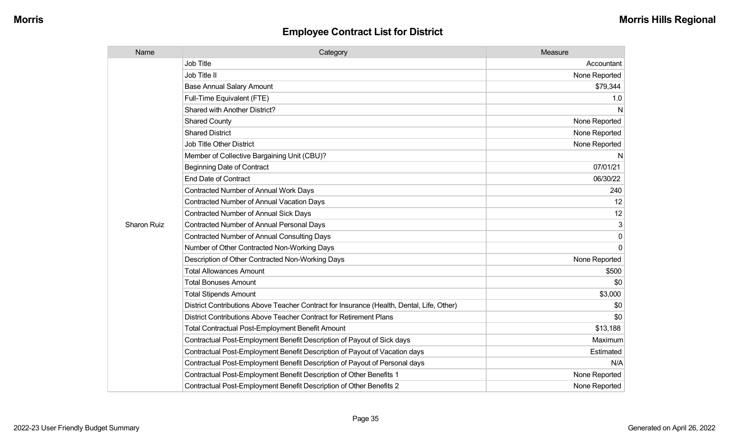| Name        | Category                                                                                  | Measure       |
|-------------|-------------------------------------------------------------------------------------------|---------------|
|             | <b>Job Title</b>                                                                          | Accountant    |
|             | Job Title II                                                                              | None Reported |
|             | <b>Base Annual Salary Amount</b>                                                          | \$79,344      |
|             | Full-Time Equivalent (FTE)                                                                | 1.0           |
|             | Shared with Another District?                                                             | N             |
|             | <b>Shared County</b>                                                                      | None Reported |
|             | <b>Shared District</b>                                                                    | None Reported |
|             | <b>Job Title Other District</b>                                                           | None Reported |
|             | Member of Collective Bargaining Unit (CBU)?                                               | N             |
|             | <b>Beginning Date of Contract</b>                                                         | 07/01/21      |
|             | <b>End Date of Contract</b>                                                               | 06/30/22      |
|             | <b>Contracted Number of Annual Work Days</b>                                              | 240           |
|             | Contracted Number of Annual Vacation Days                                                 | 12            |
|             | <b>Contracted Number of Annual Sick Days</b>                                              | 12            |
| Sharon Ruiz | <b>Contracted Number of Annual Personal Days</b>                                          | 3             |
|             | <b>Contracted Number of Annual Consulting Days</b>                                        | $\mathbf 0$   |
|             | Number of Other Contracted Non-Working Days                                               | $\mathbf 0$   |
|             | Description of Other Contracted Non-Working Days                                          | None Reported |
|             | <b>Total Allowances Amount</b>                                                            | \$500         |
|             | <b>Total Bonuses Amount</b>                                                               | \$0           |
|             | <b>Total Stipends Amount</b>                                                              | \$3,000       |
|             | District Contributions Above Teacher Contract for Insurance (Health, Dental, Life, Other) | \$0           |
|             | District Contributions Above Teacher Contract for Retirement Plans                        | \$0           |
|             | <b>Total Contractual Post-Employment Benefit Amount</b>                                   | \$13,188      |
|             | Contractual Post-Employment Benefit Description of Payout of Sick days                    | Maximum       |
|             | Contractual Post-Employment Benefit Description of Payout of Vacation days                | Estimated     |
|             | Contractual Post-Employment Benefit Description of Payout of Personal days                | N/A           |
|             | Contractual Post-Employment Benefit Description of Other Benefits 1                       | None Reported |
|             | Contractual Post-Employment Benefit Description of Other Benefits 2                       | None Reported |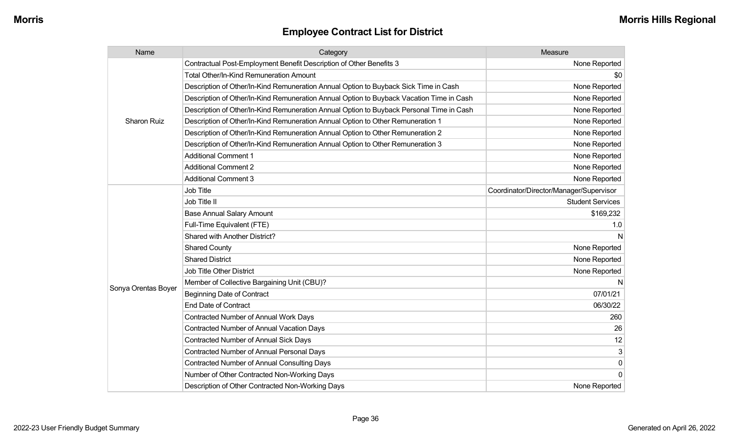| Name                | Category                                                                                 | Measure                                 |
|---------------------|------------------------------------------------------------------------------------------|-----------------------------------------|
| <b>Sharon Ruiz</b>  | Contractual Post-Employment Benefit Description of Other Benefits 3                      | None Reported                           |
|                     | Total Other/In-Kind Remuneration Amount                                                  | \$0                                     |
|                     | Description of Other/In-Kind Remuneration Annual Option to Buyback Sick Time in Cash     | None Reported                           |
|                     | Description of Other/In-Kind Remuneration Annual Option to Buyback Vacation Time in Cash | None Reported                           |
|                     | Description of Other/In-Kind Remuneration Annual Option to Buyback Personal Time in Cash | None Reported                           |
|                     | Description of Other/In-Kind Remuneration Annual Option to Other Remuneration 1          | None Reported                           |
|                     | Description of Other/In-Kind Remuneration Annual Option to Other Remuneration 2          | None Reported                           |
|                     | Description of Other/In-Kind Remuneration Annual Option to Other Remuneration 3          | None Reported                           |
|                     | <b>Additional Comment 1</b>                                                              | None Reported                           |
|                     | <b>Additional Comment 2</b>                                                              | None Reported                           |
|                     | <b>Additional Comment 3</b>                                                              | None Reported                           |
|                     | Job Title                                                                                | Coordinator/Director/Manager/Supervisor |
|                     | Job Title II                                                                             | <b>Student Services</b>                 |
|                     | <b>Base Annual Salary Amount</b>                                                         | \$169,232                               |
|                     | Full-Time Equivalent (FTE)                                                               | 1.0                                     |
|                     | Shared with Another District?                                                            | N                                       |
|                     | <b>Shared County</b>                                                                     | None Reported                           |
|                     | <b>Shared District</b>                                                                   | None Reported                           |
|                     | Job Title Other District                                                                 | None Reported                           |
|                     | Member of Collective Bargaining Unit (CBU)?                                              | N                                       |
| Sonya Orentas Boyer | <b>Beginning Date of Contract</b>                                                        | 07/01/21                                |
|                     | <b>End Date of Contract</b>                                                              | 06/30/22                                |
|                     | Contracted Number of Annual Work Days                                                    | 260                                     |
|                     | Contracted Number of Annual Vacation Days                                                | 26                                      |
|                     | <b>Contracted Number of Annual Sick Days</b>                                             | 12                                      |
|                     | <b>Contracted Number of Annual Personal Days</b>                                         | 3                                       |
|                     | <b>Contracted Number of Annual Consulting Days</b>                                       | $\pmb{0}$                               |
|                     | Number of Other Contracted Non-Working Days                                              | $\mathbf 0$                             |
|                     | Description of Other Contracted Non-Working Days                                         | None Reported                           |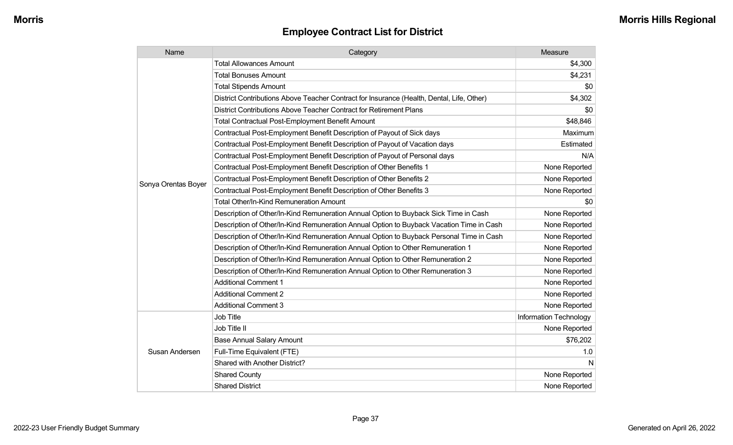| Name                | Category                                                                                  | Measure                |
|---------------------|-------------------------------------------------------------------------------------------|------------------------|
|                     | <b>Total Allowances Amount</b>                                                            | \$4,300                |
|                     | <b>Total Bonuses Amount</b>                                                               | \$4,231                |
|                     | <b>Total Stipends Amount</b>                                                              | \$0                    |
|                     | District Contributions Above Teacher Contract for Insurance (Health, Dental, Life, Other) | \$4,302                |
|                     | District Contributions Above Teacher Contract for Retirement Plans                        | \$0                    |
|                     | <b>Total Contractual Post-Employment Benefit Amount</b>                                   | \$48,846               |
|                     | Contractual Post-Employment Benefit Description of Payout of Sick days                    | Maximum                |
|                     | Contractual Post-Employment Benefit Description of Payout of Vacation days                | Estimated              |
|                     | Contractual Post-Employment Benefit Description of Payout of Personal days                | N/A                    |
|                     | Contractual Post-Employment Benefit Description of Other Benefits 1                       | None Reported          |
| Sonya Orentas Boyer | Contractual Post-Employment Benefit Description of Other Benefits 2                       | None Reported          |
|                     | Contractual Post-Employment Benefit Description of Other Benefits 3                       | None Reported          |
|                     | Total Other/In-Kind Remuneration Amount                                                   | \$0                    |
|                     | Description of Other/In-Kind Remuneration Annual Option to Buyback Sick Time in Cash      | None Reported          |
|                     | Description of Other/In-Kind Remuneration Annual Option to Buyback Vacation Time in Cash  | None Reported          |
|                     | Description of Other/In-Kind Remuneration Annual Option to Buyback Personal Time in Cash  | None Reported          |
|                     | Description of Other/In-Kind Remuneration Annual Option to Other Remuneration 1           | None Reported          |
|                     | Description of Other/In-Kind Remuneration Annual Option to Other Remuneration 2           | None Reported          |
|                     | Description of Other/In-Kind Remuneration Annual Option to Other Remuneration 3           | None Reported          |
|                     | <b>Additional Comment 1</b>                                                               | None Reported          |
|                     | <b>Additional Comment 2</b>                                                               | None Reported          |
|                     | <b>Additional Comment 3</b>                                                               | None Reported          |
|                     | Job Title                                                                                 | Information Technology |
|                     | Job Title II                                                                              | None Reported          |
|                     | <b>Base Annual Salary Amount</b>                                                          | \$76,202               |
| Susan Andersen      | Full-Time Equivalent (FTE)                                                                | 1.0                    |
|                     | Shared with Another District?                                                             | N                      |
|                     | <b>Shared County</b>                                                                      | None Reported          |
|                     | <b>Shared District</b>                                                                    | None Reported          |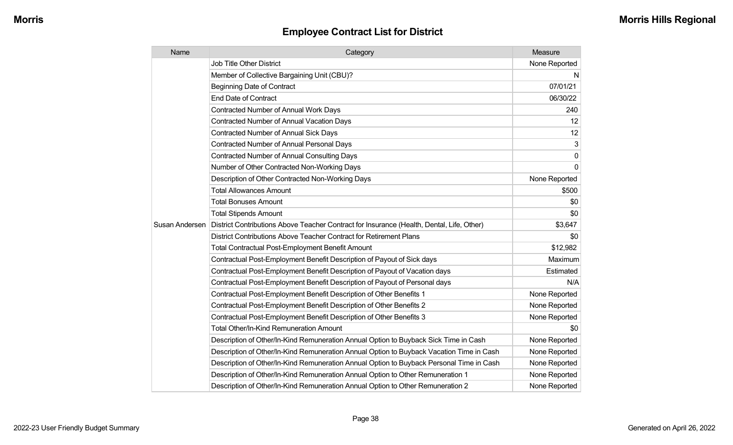| Name           | Category                                                                                  | Measure       |
|----------------|-------------------------------------------------------------------------------------------|---------------|
|                | <b>Job Title Other District</b>                                                           | None Reported |
|                | Member of Collective Bargaining Unit (CBU)?                                               | N             |
|                | <b>Beginning Date of Contract</b>                                                         | 07/01/21      |
|                | <b>End Date of Contract</b>                                                               | 06/30/22      |
|                | Contracted Number of Annual Work Days                                                     | 240           |
|                | <b>Contracted Number of Annual Vacation Days</b>                                          | 12            |
|                | <b>Contracted Number of Annual Sick Days</b>                                              | 12            |
|                | <b>Contracted Number of Annual Personal Days</b>                                          | 3             |
|                | Contracted Number of Annual Consulting Days                                               | $\Omega$      |
|                | Number of Other Contracted Non-Working Days                                               | 0             |
|                | Description of Other Contracted Non-Working Days                                          | None Reported |
|                | <b>Total Allowances Amount</b>                                                            | \$500         |
|                | <b>Total Bonuses Amount</b>                                                               | \$0           |
|                | <b>Total Stipends Amount</b>                                                              | \$0           |
| Susan Andersen | District Contributions Above Teacher Contract for Insurance (Health, Dental, Life, Other) | \$3,647       |
|                | District Contributions Above Teacher Contract for Retirement Plans                        | \$0           |
|                | <b>Total Contractual Post-Employment Benefit Amount</b>                                   | \$12,982      |
|                | Contractual Post-Employment Benefit Description of Payout of Sick days                    | Maximum       |
|                | Contractual Post-Employment Benefit Description of Payout of Vacation days                | Estimated     |
|                | Contractual Post-Employment Benefit Description of Payout of Personal days                | N/A           |
|                | Contractual Post-Employment Benefit Description of Other Benefits 1                       | None Reported |
|                | Contractual Post-Employment Benefit Description of Other Benefits 2                       | None Reported |
|                | Contractual Post-Employment Benefit Description of Other Benefits 3                       | None Reported |
|                | Total Other/In-Kind Remuneration Amount                                                   | \$0           |
|                | Description of Other/In-Kind Remuneration Annual Option to Buyback Sick Time in Cash      | None Reported |
|                | Description of Other/In-Kind Remuneration Annual Option to Buyback Vacation Time in Cash  | None Reported |
|                | Description of Other/In-Kind Remuneration Annual Option to Buyback Personal Time in Cash  | None Reported |
|                | Description of Other/In-Kind Remuneration Annual Option to Other Remuneration 1           | None Reported |
|                | Description of Other/In-Kind Remuneration Annual Option to Other Remuneration 2           | None Reported |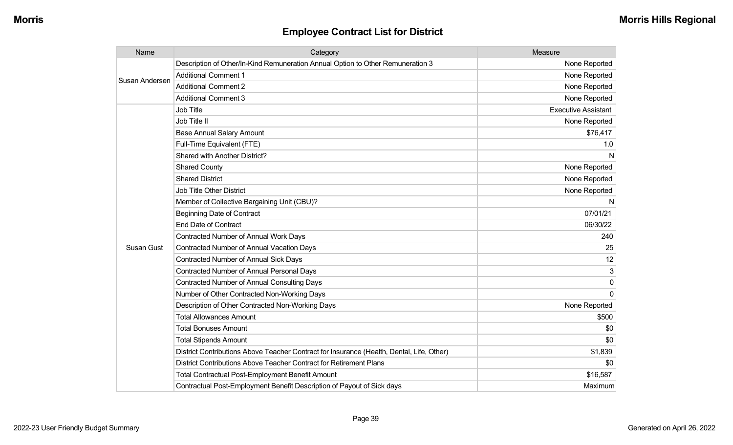| Name           | Category                                                                                  | Measure                    |
|----------------|-------------------------------------------------------------------------------------------|----------------------------|
| Susan Andersen | Description of Other/In-Kind Remuneration Annual Option to Other Remuneration 3           | None Reported              |
|                | <b>Additional Comment 1</b>                                                               | None Reported              |
|                | <b>Additional Comment 2</b>                                                               | None Reported              |
|                | <b>Additional Comment 3</b>                                                               | None Reported              |
|                | <b>Job Title</b>                                                                          | <b>Executive Assistant</b> |
|                | Job Title II                                                                              | None Reported              |
|                | <b>Base Annual Salary Amount</b>                                                          | \$76,417                   |
|                | Full-Time Equivalent (FTE)                                                                | 1.0                        |
|                | Shared with Another District?                                                             | N                          |
|                | <b>Shared County</b>                                                                      | None Reported              |
|                | <b>Shared District</b>                                                                    | None Reported              |
|                | <b>Job Title Other District</b>                                                           | None Reported              |
|                | Member of Collective Bargaining Unit (CBU)?                                               | N                          |
|                | <b>Beginning Date of Contract</b>                                                         | 07/01/21                   |
|                | <b>End Date of Contract</b>                                                               | 06/30/22                   |
|                | <b>Contracted Number of Annual Work Days</b>                                              | 240                        |
| Susan Gust     | <b>Contracted Number of Annual Vacation Days</b>                                          | 25                         |
|                | <b>Contracted Number of Annual Sick Days</b>                                              | 12                         |
|                | <b>Contracted Number of Annual Personal Days</b>                                          | 3                          |
|                | <b>Contracted Number of Annual Consulting Days</b>                                        | 0                          |
|                | Number of Other Contracted Non-Working Days                                               | $\Omega$                   |
|                | Description of Other Contracted Non-Working Days                                          | None Reported              |
|                | <b>Total Allowances Amount</b>                                                            | \$500                      |
|                | <b>Total Bonuses Amount</b>                                                               | \$0                        |
|                | <b>Total Stipends Amount</b>                                                              | \$0                        |
|                | District Contributions Above Teacher Contract for Insurance (Health, Dental, Life, Other) | \$1,839                    |
|                | District Contributions Above Teacher Contract for Retirement Plans                        | \$0                        |
|                | <b>Total Contractual Post-Employment Benefit Amount</b>                                   | \$16,587                   |
|                | Contractual Post-Employment Benefit Description of Payout of Sick days                    | Maximum                    |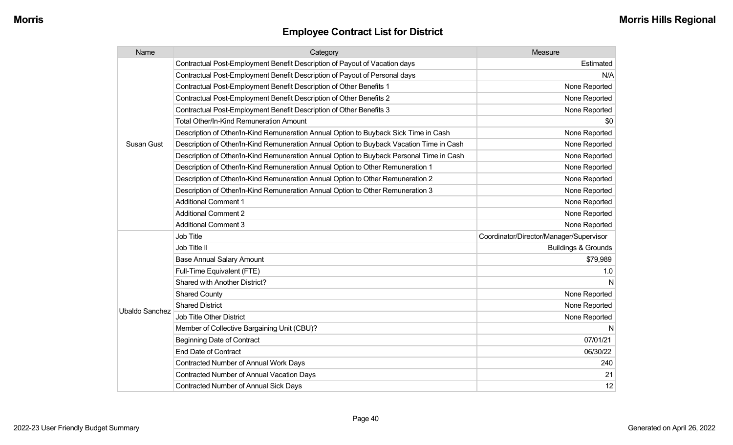| Name                  | Category                                                                                 | Measure                                 |
|-----------------------|------------------------------------------------------------------------------------------|-----------------------------------------|
|                       | Contractual Post-Employment Benefit Description of Payout of Vacation days               | Estimated                               |
|                       | Contractual Post-Employment Benefit Description of Payout of Personal days               | N/A                                     |
|                       | Contractual Post-Employment Benefit Description of Other Benefits 1                      | None Reported                           |
|                       | Contractual Post-Employment Benefit Description of Other Benefits 2                      | None Reported                           |
|                       | Contractual Post-Employment Benefit Description of Other Benefits 3                      | None Reported                           |
|                       | <b>Total Other/In-Kind Remuneration Amount</b>                                           | \$0                                     |
|                       | Description of Other/In-Kind Remuneration Annual Option to Buyback Sick Time in Cash     | None Reported                           |
| Susan Gust            | Description of Other/In-Kind Remuneration Annual Option to Buyback Vacation Time in Cash | None Reported                           |
|                       | Description of Other/In-Kind Remuneration Annual Option to Buyback Personal Time in Cash | None Reported                           |
|                       | Description of Other/In-Kind Remuneration Annual Option to Other Remuneration 1          | None Reported                           |
|                       | Description of Other/In-Kind Remuneration Annual Option to Other Remuneration 2          | None Reported                           |
|                       | Description of Other/In-Kind Remuneration Annual Option to Other Remuneration 3          | None Reported                           |
|                       | <b>Additional Comment 1</b>                                                              | None Reported                           |
|                       | <b>Additional Comment 2</b>                                                              | None Reported                           |
|                       | <b>Additional Comment 3</b>                                                              | None Reported                           |
|                       | Job Title                                                                                | Coordinator/Director/Manager/Supervisor |
|                       | Job Title II                                                                             | <b>Buildings &amp; Grounds</b>          |
|                       | <b>Base Annual Salary Amount</b>                                                         | \$79,989                                |
|                       | Full-Time Equivalent (FTE)                                                               | 1.0                                     |
|                       | <b>Shared with Another District?</b>                                                     |                                         |
|                       | <b>Shared County</b>                                                                     | None Reported                           |
| <b>Ubaldo Sanchez</b> | <b>Shared District</b>                                                                   | None Reported                           |
|                       | <b>Job Title Other District</b>                                                          | None Reported                           |
|                       | Member of Collective Bargaining Unit (CBU)?                                              | N                                       |
|                       | <b>Beginning Date of Contract</b>                                                        | 07/01/21                                |
|                       | <b>End Date of Contract</b>                                                              | 06/30/22                                |
|                       | Contracted Number of Annual Work Days                                                    | 240                                     |
|                       | <b>Contracted Number of Annual Vacation Days</b>                                         | 21                                      |
|                       | <b>Contracted Number of Annual Sick Days</b>                                             | 12                                      |